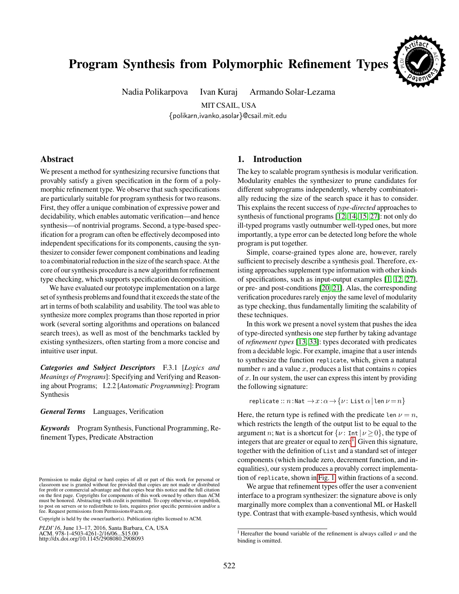# Program Synthesis from Polymorphic Refinement Types

Nadia Polikarpova Ivan Kuraj Armando Solar-Lezama

**Cb**<br>**b Wel l patrick <sup>t</sup> <sup>y</sup>sa<sup>E</sup> \* o Reuse** \* *D***a ul ed**<sub>2</sub> \* PL \***<sup>A</sup><sup>r</sup>tifac<sup>t</sup>** \* AE C

MIT CSAIL, USA {polikarn,ivanko,asolar}@csail.mit.edu

# Abstract

We present a method for synthesizing recursive functions that provably satisfy a given specification in the form of a polymorphic refinement type. We observe that such specifications are particularly suitable for program synthesis for two reasons. First, they offer a unique combination of expressive power and decidability, which enables automatic verification—and hence synthesis—of nontrivial programs. Second, a type-based specification for a program can often be effectively decomposed into independent specifications for its components, causing the synthesizer to consider fewer component combinations and leading to a combinatorial reduction in the size of the search space. At the core of our synthesis procedure is a new algorithm for refinement type checking, which supports specification decomposition.

We have evaluated our prototype implementation on a large set of synthesis problems and found that it exceeds the state of the art in terms of both scalability and usability. The tool was able to synthesize more complex programs than those reported in prior work (several sorting algorithms and operations on balanced search trees), as well as most of the benchmarks tackled by existing synthesizers, often starting from a more concise and intuitive user input.

*Categories and Subject Descriptors* F.3.1 [*Logics and Meanings of Programs*]: Specifying and Verifying and Reasoning about Programs; I.2.2 [*Automatic Programming*]: Program Synthesis

*General Terms* Languages, Verification

*Keywords* Program Synthesis, Functional Programming, Refinement Types, Predicate Abstraction

Copyright is held by the owner/author(s). Publication rights licensed to ACM.

*PLDI'16*, June 13–17, 2016, Santa Barbara, CA, USA ACM. 978-1-4503-4261-2/16/06...\$15.00 http://dx.doi.org/10.1145/2908080.2908093

# 1. Introduction

The key to scalable program synthesis is modular verification. Modularity enables the synthesizer to prune candidates for different subprograms independently, whereby combinatorially reducing the size of the search space it has to consider. This explains the recent success of *type-directed* approaches to synthesis of functional programs [\[12,](#page-16-0) [14,](#page-16-1) [15,](#page-16-2) [27\]](#page-16-3): not only do ill-typed programs vastly outnumber well-typed ones, but more importantly, a type error can be detected long before the whole program is put together.

Simple, coarse-grained types alone are, however, rarely sufficient to precisely describe a synthesis goal. Therefore, existing approaches supplement type information with other kinds of specifications, such as input-output examples [\[1,](#page-15-0) [12,](#page-16-0) [27\]](#page-16-3), or pre- and post-conditions [\[20,](#page-16-4) [21\]](#page-16-5). Alas, the corresponding verification procedures rarely enjoy the same level of modularity as type checking, thus fundamentally limiting the scalability of these techniques.

In this work we present a novel system that pushes the idea of type-directed synthesis one step further by taking advantage of *refinement types* [\[13,](#page-16-6) [33\]](#page-16-7): types decorated with predicates from a decidable logic. For example, imagine that a user intends to synthesize the function replicate, which, given a natural number  $n$  and a value  $x$ , produces a list that contains  $n$  copies of  $x$ . In our system, the user can express this intent by providing the following signature:

replicate ::  $n:$ Nat  $\rightarrow x:\alpha \rightarrow \{\nu:$  List  $\alpha \mid$ len  $\nu = n\}$ 

Here, the return type is refined with the predicate len  $\nu = n$ , which restricts the length of the output list to be equal to the argument *n*; Nat is a shortcut for  $\{\nu : \text{Int } | \nu \ge 0\}$ , the type of integers that are greater or equal to zero<sup>[1](#page-0-0)</sup>. Given this signature, together with the definition of List and a standard set of integer components (which include zero, decrement function, and inequalities), our system produces a provably correct implementation of replicate, shown in [Fig. 1,](#page-1-0) within fractions of a second.

We argue that refinement types offer the user a convenient interface to a program synthesizer: the signature above is only marginally more complex than a conventional ML or Haskell type. Contrast that with example-based synthesis, which would

Permission to make digital or hard copies of all or part of this work for personal or classroom use is granted without fee provided that copies are not made or distributed for profit or commercial advantage and that copies bear this notice and the full citation on the first page. Copyrights for components of this work owned by others than ACM must be honored. Abstracting with credit is permitted. To copy otherwise, or republish, to post on servers or to redistribute to lists, requires prior specific permission and/or a fee. Request permissions from Permissions@acm.org.

<span id="page-0-0"></span><sup>&</sup>lt;sup>1</sup> Hereafter the bound variable of the refinement is always called  $\nu$  and the binding is omitted.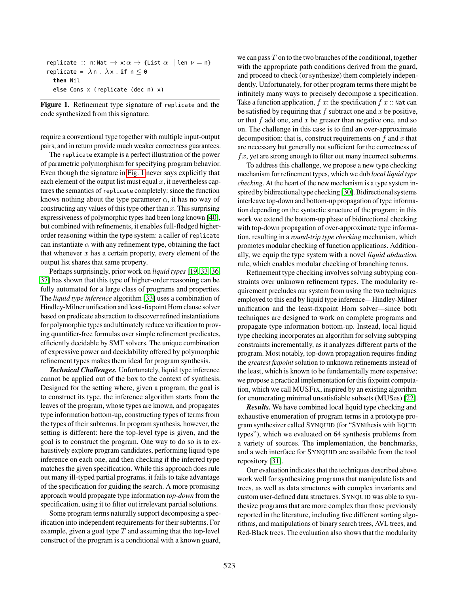| replicate :: n: Nat $\rightarrow x:\alpha \rightarrow$ {List $\alpha$   len $\nu = n$ } |  |
|-----------------------------------------------------------------------------------------|--|
| replicate = $\lambda$ n. $\lambda$ x. <b>if</b> n $\leq$ 0                              |  |
| then Nil                                                                                |  |
| else Cons $x$ (replicate (dec n) $x$ )                                                  |  |

<span id="page-1-0"></span>Figure 1. Refinement type signature of replicate and the code synthesized from this signature.

require a conventional type together with multiple input-output pairs, and in return provide much weaker correctness guarantees.

The replicate example is a perfect illustration of the power of parametric polymorphism for specifying program behavior. Even though the signature in [Fig. 1](#page-1-0) never says explicitly that each element of the output list must equal  $x$ , it nevertheless captures the semantics of replicate completely: since the function knows nothing about the type parameter  $\alpha$ , it has no way of constructing any values of this type other than  $x$ . This surprising expressiveness of polymorphic types had been long known [\[40\]](#page-16-8), but combined with refinements, it enables full-fledged higherorder reasoning within the type system: a caller of replicate can instantiate  $\alpha$  with any refinement type, obtaining the fact that whenever  $x$  has a certain property, every element of the output list shares that same property.

Perhaps surprisingly, prior work on *liquid types* [\[19,](#page-16-9) [33,](#page-16-7) [36,](#page-16-10) [37\]](#page-16-11) has shown that this type of higher-order reasoning can be fully automated for a large class of programs and properties. The *liquid type inference* algorithm [\[33\]](#page-16-7) uses a combination of Hindley-Milner unification and least-fixpoint Horn clause solver based on predicate abstraction to discover refined instantiations for polymorphic types and ultimately reduce verification to proving quantifier-free formulas over simple refinement predicates, efficiently decidable by SMT solvers. The unique combination of expressive power and decidability offered by polymorphic refinement types makes them ideal for program synthesis.

*Technical Challenges.* Unfortunately, liquid type inference cannot be applied out of the box to the context of synthesis. Designed for the setting where, given a program, the goal is to construct its type, the inference algorithm starts from the leaves of the program, whose types are known, and propagates type information bottom-up, constructing types of terms from the types of their subterms. In program synthesis, however, the setting is different: here the top-level type is given, and the goal is to construct the program. One way to do so is to exhaustively explore program candidates, performing liquid type inference on each one, and then checking if the inferred type matches the given specification. While this approach does rule out many ill-typed partial programs, it fails to take advantage of the specification for guiding the search. A more promising approach would propagate type information *top-down* from the specification, using it to filter out irrelevant partial solutions.

Some program terms naturally support decomposing a specification into independent requirements for their subterms. For example, given a goal type  $T$  and assuming that the top-level construct of the program is a conditional with a known guard, we can pass  $T$  on to the two branches of the conditional, together with the appropriate path conditions derived from the guard, and proceed to check (or synthesize) them completely independently. Unfortunately, for other program terms there might be infinitely many ways to precisely decompose a specification. Take a function application,  $f(x)$ : the specification  $f(x)$ : Nat can be satisfied by requiring that  $f$  subtract one and  $x$  be positive, or that  $f$  add one, and  $x$  be greater than negative one, and so on. The challenge in this case is to find an over-approximate decomposition: that is, construct requirements on  $f$  and  $x$  that are necessary but generally not sufficient for the correctness of  $fx$ , yet are strong enough to filter out many incorrect subterms.

To address this challenge, we propose a new type checking mechanism for refinement types, which we dub *local liquid type checking*. At the heart of the new mechanism is a type system inspired by bidirectional type checking [\[30\]](#page-16-12). Bidirectional systems interleave top-down and bottom-up propagation of type information depending on the syntactic structure of the program; in this work we extend the bottom-up phase of bidirectional checking with top-down propagation of over-approximate type information, resulting in a *round-trip type checking* mechanism, which promotes modular checking of function applications. Additionally, we equip the type system with a novel *liquid abduction* rule, which enables modular checking of branching terms.

Refinement type checking involves solving subtyping constraints over unknown refinement types. The modularity requirement precludes our system from using the two techniques employed to this end by liquid type inference—Hindley-Milner unification and the least-fixpoint Horn solver—since both techniques are designed to work on complete programs and propagate type information bottom-up. Instead, local liquid type checking incorporates an algorithm for solving subtyping constraints incrementally, as it analyzes different parts of the program. Most notably, top-down propagation requires finding the *greatest fixpoint* solution to unknown refinements instead of the least, which is known to be fundamentally more expensive; we propose a practical implementation for this fixpoint computation, which we call MUSFIX, inspired by an existing algorithm for enumerating minimal unsatisfiable subsets (MUSes) [\[22\]](#page-16-13).

*Results.* We have combined local liquid type checking and exhaustive enumeration of program terms in a prototype program synthesizer called SYNQUID (for "SYNthesis with liQUID types"), which we evaluated on 64 synthesis problems from a variety of sources. The implementation, the benchmarks, and a web interface for SYNQUID are available from the tool repository [\[31\]](#page-16-14).

Our evaluation indicates that the techniques described above work well for synthesizing programs that manipulate lists and trees, as well as data structures with complex invariants and custom user-defined data structures. SYNQUID was able to synthesize programs that are more complex than those previously reported in the literature, including five different sorting algorithms, and manipulations of binary search trees, AVL trees, and Red-Black trees. The evaluation also shows that the modularity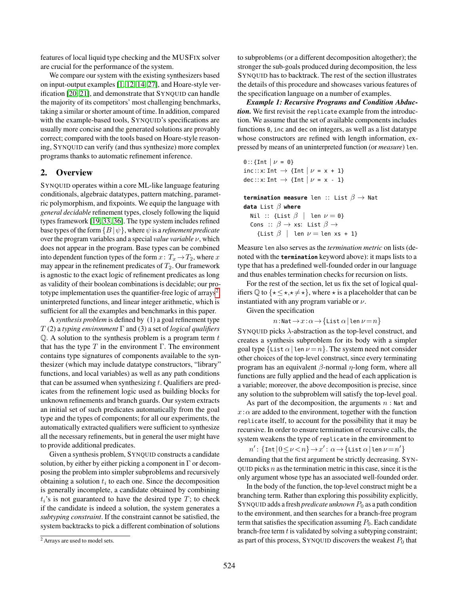features of local liquid type checking and the MUSFIX solver are crucial for the performance of the system.

We compare our system with the existing synthesizers based on input-output examples [\[1,](#page-15-0) [12,](#page-16-0) [14,](#page-16-1) [27\]](#page-16-3), and Hoare-style verification [\[20,](#page-16-4) [21\]](#page-16-5), and demonstrate that SYNQUID can handle the majority of its competitors' most challenging benchmarks, taking a similar or shorter amount of time. In addition, compared with the example-based tools, SYNQUID's specifications are usually more concise and the generated solutions are provably correct; compared with the tools based on Hoare-style reasoning, SYNQUID can verify (and thus synthesize) more complex programs thanks to automatic refinement inference.

# <span id="page-2-1"></span>2. Overview

SYNQUID operates within a core ML-like language featuring conditionals, algebraic datatypes, pattern matching, parametric polymorphism, and fixpoints. We equip the language with *general decidable* refinement types, closely following the liquid types framework [\[19,](#page-16-9) [33,](#page-16-7) [36\]](#page-16-10). The type system includes refined base types of the form  $\{B | \psi\}$ , where  $\psi$  is a *refinement predicate* over the program variables and a special *value variable* ν, which does not appear in the program. Base types can be combined into dependent function types of the form  $x: T_x \to T_2$ , where x may appear in the refinement predicates of  $T_2$ . Our framework is agnostic to the exact logic of refinement predicates as long as validity of their boolean combinations is decidable; our pro-totype implementation uses the quantifier-free logic of arrays<sup>[2](#page-2-0)</sup>, uninterpreted functions, and linear integer arithmetic, which is sufficient for all the examples and benchmarks in this paper.

A *synthesis problem* is defined by (1) a goal refinement type T (2) a *typing environment* Γ and (3) a set of *logical qualifiers*  $Q$ . A solution to the synthesis problem is a program term  $t$ that has the type  $T$  in the environment  $\Gamma$ . The environment contains type signatures of components available to the synthesizer (which may include datatype constructors, "library" functions, and local variables) as well as any path conditions that can be assumed when synthesizing  $t$ . Qualifiers are predicates from the refinement logic used as building blocks for unknown refinements and branch guards. Our system extracts an initial set of such predicates automatically from the goal type and the types of components; for all our experiments, the automatically extracted qualifiers were sufficient to synthesize all the necessary refinements, but in general the user might have to provide additional predicates.

Given a synthesis problem, SYNQUID constructs a candidate solution, by either by either picking a component in  $\Gamma$  or decomposing the problem into simpler subproblems and recursively obtaining a solution  $t_i$  to each one. Since the decomposition is generally incomplete, a candidate obtained by combining  $t_i$ 's is not guaranteed to have the desired type  $T$ ; to check if the candidate is indeed a solution, the system generates a *subtyping constraint*. If the constraint cannot be satisfied, the system backtracks to pick a different combination of solutions

to subproblems (or a different decomposition altogether); the stronger the sub-goals produced during decomposition, the less SYNQUID has to backtrack. The rest of the section illustrates the details of this procedure and showcases various features of the specification language on a number of examples.

*Example 1: Recursive Programs and Condition Abduction.* We first revisit the replicate example from the introduction. We assume that the set of available components includes functions 0, inc and dec on integers, as well as a list datatype whose constructors are refined with length information, expressed by means of an uninterpreted function (or *measure*) len.

```
0:: {Int | \nu = 0}
inc :: x: Int \rightarrow {Int |\nu = x + 1}
dec :: x: Int \rightarrow {Int |\nu = x - 1}
termination measure len :: List β → Nat
data List β where
  Nil :: {List \beta | len \nu = 0}
  Cons :: \beta \rightarrow \text{xs: List } \beta \rightarrow{List \beta | len \nu = len xs + 1}
```
Measure len also serves as the *termination metric* on lists (denoted with the **termination** keyword above): it maps lists to a type that has a predefined well-founded order in our language and thus enables termination checks for recursion on lists.

For the rest of the section, let us fix the set of logical qualifiers  $\mathbb Q$  to  $\{\star \leq \star, \star \neq \star\}$ , where  $\star$  is a placeholder that can be instantiated with any program variable or  $\nu$ .

Given the specification

```
n:\mathsf{Nat} \to \mathcal{x}:\alpha \to \{\mathsf{List}\; \alpha \,|\, \mathsf{len}\; \nu\,{=}\, n\}
```
SYNQUID picks  $\lambda$ -abstraction as the top-level construct, and creates a synthesis subproblem for its body with a simpler goal type  $\{\text{List } \alpha \mid \text{len } \nu = n\}.$  The system need not consider other choices of the top-level construct, since every terminating program has an equivalent  $β$ -normal  $η$ -long form, where all functions are fully applied and the head of each application is a variable; moreover, the above decomposition is precise, since any solution to the subproblem will satisfy the top-level goal.

As part of the decomposition, the arguments  $n:$  Nat and  $x:\alpha$  are added to the environment, together with the function replicate itself, to account for the possibility that it may be recursive. In order to ensure termination of recursive calls, the system weakens the type of replicate in the environment to

 $n'$ : {Int| $0 \le \nu < n$ }  $\rightarrow x'$ :  $\alpha \rightarrow$ {List  $\alpha$ |len  $\nu = n'$ } demanding that the first argument be strictly decreasing. SYN-QUID picks  $n$  as the termination metric in this case, since it is the only argument whose type has an associated well-founded order.

In the body of the function, the top-level construct might be a branching term. Rather than exploring this possibility explicitly, SYNQUID adds a fresh *predicate unknown*  $P_0$  as a path condition to the environment, and then searches for a branch-free program term that satisfies the specification assuming  $P_0$ . Each candidate branch-free term  $t$  is validated by solving a subtyping constraint; as part of this process, SYNQUID discovers the weakest  $P_0$  that

<span id="page-2-0"></span> $2$  Arrays are used to model sets.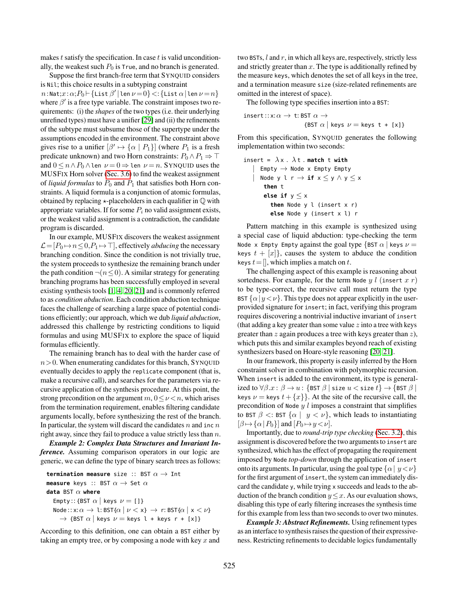makes  $t$  satisfy the specification. In case  $t$  is valid unconditionally, the weakest such  $P_0$  is True, and no branch is generated.

Suppose the first branch-free term that SYNQUID considers is Nil; this choice results in a subtyping constraint  $n$ :Nat; $x$ : $\alpha; P_0 \vdash$ {List  $\beta' \, |$ len  $\nu \! = \! 0 \} \! <:$ {List  $\alpha \, |$ len  $\nu \! = \! n \}$ where  $\beta'$  is a free type variable. The constraint imposes two requirements: (i) the *shapes* of the two types (i.e. their underlying unrefined types) must have a unifier [\[29\]](#page-16-15) and (ii) the refinements of the subtype must subsume those of the supertype under the assumptions encoded in the environment. The constraint above gives rise to a unifier  $[\beta' \mapsto {\alpha | P_1}]$  (where  $P_1$  is a fresh predicate unknown) and two Horn constraints:  $P_0 \wedge P_1 \Rightarrow \top$ and  $0 \le n \wedge P_0 \wedge \text{len } \nu = 0 \Rightarrow \text{len } \nu = n$ . SYNQUID uses the MUSFIX Horn solver [\(Sec. 3.6\)](#page-10-0) to find the weakest assignment of *liquid formulas* to  $P_0$  and  $P_1$  that satisfies both Horn constraints. A liquid formula is a conjunction of atomic formulas, obtained by replacing  $\star$ -placeholders in each qualifier in  $\mathbb Q$  with appropriate variables. If for some  $P_i$  no valid assignment exists, or the weakest valid assignment is a contradiction, the candidate program is discarded.

In our example, MUSFIX discovers the weakest assignment  $\mathcal{L}=[P_0 \rightarrow n \leq 0, P_1 \rightarrow \top]$ , effectively *abducing* the necessary branching condition. Since the condition is not trivially true, the system proceeds to synthesize the remaining branch under the path condition  $\neg (n \leq 0)$ . A similar strategy for generating branching programs has been successfully employed in several existing synthesis tools [\[1,](#page-15-0) [4,](#page-15-1) [20,](#page-16-4) [21\]](#page-16-5) and is commonly referred to as *condition abduction*. Each condition abduction technique faces the challenge of searching a large space of potential conditions efficiently; our approach, which we dub *liquid abduction*, addressed this challenge by restricting conditions to liquid formulas and using MUSFIX to explore the space of liquid formulas efficiently.

The remaining branch has to deal with the harder case of  $n>0$ . When enumerating candidates for this branch, SYNQUID eventually decides to apply the replicate component (that is, make a recursive call), and searches for the parameters via recursive application of the synthesis procedure. At this point, the strong precondition on the argument  $m, 0 \leq \nu < n$ , which arises from the termination requirement, enables filtering candidate arguments locally, before synthesizing the rest of the branch. In particular, the system will discard the candidates  $n$  and inc  $n$ right away, since they fail to produce a value strictly less than  $n$ .

*Example 2: Complex Data Structures and Invariant Inference.* Assuming comparison operators in our logic are generic, we can define the type of binary search trees as follows:

```
termination measure size :: BST α → Int
measure keys :: BST \alpha \rightarrow Set \alphadata BST α where
  Empty:: {BST \alpha | keys \nu = \{1\}Node :: x:\alpha \to 1: BST{\alpha | \nu < x} \to r: BST{\alpha | x < \nu}
     \rightarrow {BST \alpha | keys \nu = keys l + keys r + [x]}
```
According to this definition, one can obtain a BST either by taking an empty tree, or by composing a node with key  $x$  and two BSTs,  $l$  and  $r$ , in which all keys are, respectively, strictly less and strictly greater than  $x$ . The type is additionally refined by the measure keys, which denotes the set of all keys in the tree, and a termination measure size (size-related refinements are omitted in the interest of space).

The following type specifies insertion into a BST:

$$
\begin{aligned}\n\text{insert} :: x : \alpha \to \text{t: BST } \alpha \to \\
&\{ \text{BST } \alpha \mid \text{keys } \nu = \text{keys } \text{t + [x]} \}\n\end{aligned}
$$

From this specification, SYNQUID generates the following implementation within two seconds:

```
insert = \lambda x. \lambda t. match t with
     Empty \rightarrow Node \times Empty Empty
     | Node y l r → if x ≤ y ∧ y ≤ x
       then t
       else if y \leq xthen Node y l (insert x r)
         else Node y (insert x l) r
```
Pattern matching in this example is synthesized using a special case of liquid abduction: type-checking the term Node x Empty Empty against the goal type  $\{$  BST  $\alpha$   $\|$  keys  $\nu =$ keys  $t + [x]$ , causes the system to abduce the condition keys  $t=$  [], which implies a match on t.

The challenging aspect of this example is reasoning about sortedness. For example, for the term Node  $y$  l (insert  $x$  r) to be type-correct, the recursive call must return the type BST  $\{\alpha | y \lt \nu\}$ . This type does not appear explicitly in the userprovided signature for insert; in fact, verifying this program requires discovering a nontrivial inductive invariant of insert (that adding a key greater than some value  $z$  into a tree with keys greater than  $z$  again produces a tree with keys greater than  $z$ ), which puts this and similar examples beyond reach of existing synthesizers based on Hoare-style reasoning [\[20,](#page-16-4) [21\]](#page-16-5).

In our framework, this property is easily inferred by the Horn constraint solver in combination with polymorphic recursion. When insert is added to the environment, its type is generalized to  $\forall \beta \ldots \ldots \beta \rightarrow u$ : {BST  $\beta$  | size  $u <$  size  $t$ }  $\rightarrow$  {BST  $\beta$  | keys  $\nu =$  keys  $t + \{x\}$ . At the site of the recursive call, the precondition of Node  $y \, l$  imposes a constraint that simplifies to BST  $\beta$  <: BST  $\{\alpha \mid y < \nu\}$ , which leads to instantiating  $[\beta \mapsto {\alpha | P_0} ]$  and  $[P_0 \mapsto y < \nu].$ 

Importantly, due to *round-trip type checking* [\(Sec. 3.2\)](#page-6-0), this assignment is discovered before the two arguments to insert are synthesized, which has the effect of propagating the requirement imposed by Node *top-down* through the application of insert onto its arguments. In particular, using the goal type  $\{\alpha \mid y \lt \nu\}$ for the first argument of insert, the system can immediately discard the candidate y, while trying x succeeds and leads to the abduction of the branch condition  $y \leq x$ . As our evaluation shows, disabling this type of early filtering increases the synthesis time for this example from less than two seconds to over two minutes.

*Example 3: Abstract Refinements.* Using refinement types as an interface to synthesis raises the question of their expressiveness. Restricting refinements to decidable logics fundamentally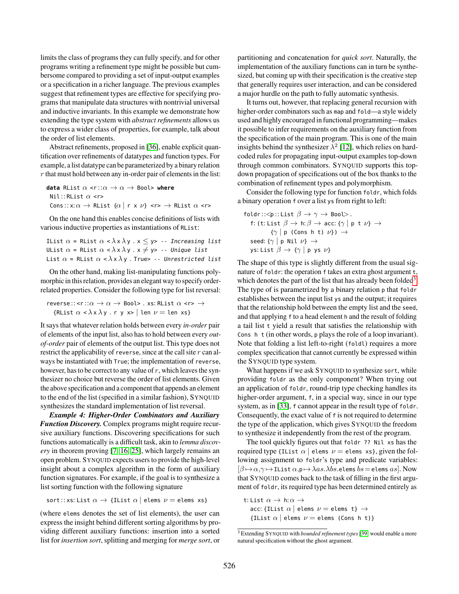limits the class of programs they can fully specify, and for other programs writing a refinement type might be possible but cumbersome compared to providing a set of input-output examples or a specification in a richer language. The previous examples suggest that refinement types are effective for specifying programs that manipulate data structures with nontrivial universal and inductive invariants. In this example we demonstrate how extending the type system with *abstract refinements* allows us to express a wider class of properties, for example, talk about the order of list elements.

Abstract refinements, proposed in [\[36\]](#page-16-10), enable explicit quantification over refinements of datatypes and function types. For example, a list datatype can be parameterized by a binary relation  $r$  that must hold between any in-order pair of elements in the list:

```
data RList \alpha \leq r : \alpha \rightarrow \alpha \rightarrow Bool> where
 Nil:: RList \alpha <r>
 Cons:: x: \alpha \rightarrow RList \{\alpha \mid r \times \nu\} \iff RList \alpha \iff
```
On the one hand this enables concise definitions of lists with various inductive properties as instantiations of RList:

\n
$$
\text{List } \alpha = \text{RList } \alpha < \lambda \times \lambda \text{ y} \cdot x \leq y > - \text{Increasing list}
$$
\n

\n\n $\text{UList } \alpha = \text{RList } \alpha < \lambda \times \lambda \text{ y} \cdot x \neq y > - \text{Unique list}$ \n

\n\n $\text{List } \alpha = \text{RList } \alpha < \lambda \times \lambda \text{ y} \cdot \text{True} > - \text{Unrestricted list}$ \n

On the other hand, making list-manipulating functions polymorphic in this relation, provides an elegant way to specify orderrelated properties. Consider the following type for list reversal:

```
reverse:: <r::\alpha \rightarrow \alpha \rightarrow Bool> . xs: RList \alpha <r> \rightarrow{RList \alpha < \lambda \times \lambday. r y x> | len \nu = len xs}
```
It says that whatever relation holds between every *in-order* pair of elements of the input list, also has to hold between every *outof-order* pair of elements of the output list. This type does not restrict the applicability of reverse, since at the call site r can always be instantiated with True; the implementation of reverse, however, has to be correct to any value of  $r$ , which leaves the synthesizer no choice but reverse the order of list elements. Given the above specification and a component that appends an element to the end of the list (specified in a similar fashion), SYNQUID synthesizes the standard implementation of list reversal.

*Example 4: Higher-Order Combinators and Auxiliary Function Discovery.* Complex programs might require recursive auxiliary functions. Discovering specifications for such functions automatically is a difficult task, akin to *lemma discovery* in theorem proving [\[7,](#page-16-16) [16,](#page-16-17) [25\]](#page-16-18), which largely remains an open problem. SYNQUID expects users to provide the high-level insight about a complex algorithm in the form of auxiliary function signatures. For example, if the goal is to synthesize a list sorting function with the following signature

sort:: xs: List  $\alpha \rightarrow \{$ IList  $\alpha \mid$  elems  $\nu =$  elems xs}

(where elems denotes the set of list elements), the user can express the insight behind different sorting algorithms by providing different auxiliary functions: insertion into a sorted list for *insertion sort*, splitting and merging for *merge sort*, or partitioning and concatenation for *quick sort*. Naturally, the implementation of the auxiliary functions can in turn be synthesized, but coming up with their specification is the creative step that generally requires user interaction, and can be considered a major hurdle on the path to fully automatic synthesis.

It turns out, however, that replacing general recursion with higher-order combinators such as map and fold—a style widely used and highly encouraged in functional programming—makes it possible to infer requirements on the auxiliary function from the specification of the main program. This is one of the main insights behind the synthesizer  $\lambda^2$  [\[12\]](#page-16-0), which relies on hardcoded rules for propagating input-output examples top-down through common combinators. SYNQUID supports this topdown propagation of specifications out of the box thanks to the combination of refinement types and polymorphism.

Consider the following type for function foldr, which folds a binary operation f over a list ys from right to left:

foldr:: $\langle p$ ::List  $\beta \to \gamma \to \text{Bool}$ . f: (t: List  $\beta \to h: \beta \to acc: {\gamma \mid p \ t \nu} \to$  $\{\gamma \mid p \text{ (Cons } h \text{ t)} \nu\}) \rightarrow$ seed:  $\{\gamma \mid p \text{ Nil } \nu\} \rightarrow$ ys: List  $\beta \rightarrow {\gamma | p y s \nu}$ 

The shape of this type is slightly different from the usual signature of foldr: the operation f takes an extra ghost argument t, which denotes the part of the list that has already been folded<sup>[3](#page-4-0)</sup>. The type of is parametrized by a binary relation p that foldr establishes between the input list ys and the output; it requires that the relationship hold between the empty list and the seed, and that applying f to a head element h and the result of folding a tail list t yield a result that satisfies the relationship with Cons h t (in other words, p plays the role of a loop invariant). Note that folding a list left-to-right (foldl) requires a more complex specification that cannot currently be expressed within the SYNQUID type system.

What happens if we ask SYNQUID to synthesize sort, while providing foldr as the only component? When trying out an application of foldr, round-trip type checking handles its higher-order argument, f, in a special way, since in our type system, as in [\[33\]](#page-16-7), f cannot appear in the result type of foldr. Consequently, the exact value of f is not required to determine the type of the application, which gives SYNQUID the freedom to synthesize it independently from the rest of the program.

The tool quickly figures out that foldr ?? Nil xs has the required type {IList  $\alpha$  | elems  $\nu$  = elems xs}, given the following assignment to foldr's type and predicate variables:  $[\beta \mapsto \alpha, \gamma \mapsto$ IList  $\alpha, \beta \mapsto \lambda as. \lambda bs.$ elems  $bs =$ elems  $as$ ]. Now that SYNQUID comes back to the task of filling in the first argument of foldr, its required type has been determined entirely as

t: List  $\alpha \to h:\alpha \to$ acc: {IList  $\alpha$  | elems  $\nu =$  elems t}  $\rightarrow$ {IList  $\alpha$  | elems  $\nu$  = elems (Cons h t)}

<span id="page-4-0"></span><sup>3</sup> Extending SYNQUID with *bounded refinement types* [\[39\]](#page-16-19) would enable a more natural specification without the ghost argument.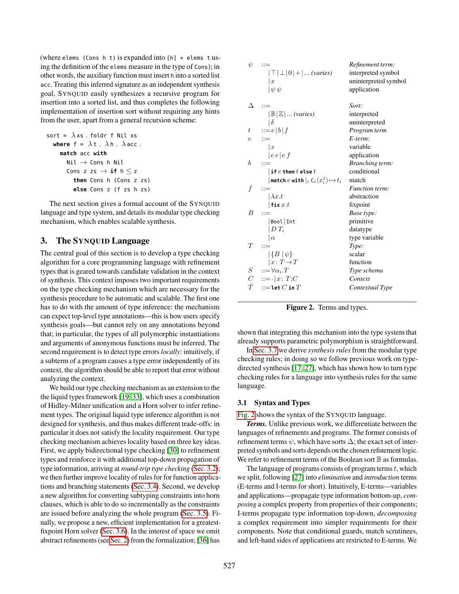(where elems (Cons h t) is expanded into [h] + elems t using the definition of the elems measure in the type of Cons); in other words, the auxiliary function must insert h into a sorted list acc. Treating this inferred signature as an independent synthesis goal, SYNQUID easily synthesizes a recursive program for insertion into a sorted list, and thus completes the following implementation of insertion sort without requiring any hints from the user, apart from a general recursion scheme:

```
sort = \lambdaxs. foldr f Nil xs
  where f = \lambda t \cdot \lambda h \cdot \lambda acc.
     match acc with
        Nil \rightarrow Cons h Nil
        Cons z zs \rightarrow if h < zthen Cons h (Cons z zs)
           else Cons z (f zs h zs)
```
The next section gives a formal account of the SYNQUID language and type system, and details its modular type checking mechanism, which enables scalable synthesis.

# 3. The SYNQUID Language

The central goal of this section is to develop a type checking algorithm for a core programming language with refinement types that is geared towards candidate validation in the context of synthesis. This context imposes two important requirements on the type checking mechanism which are necessary for the synthesis procedure to be automatic and scalable. The first one has to do with the amount of type inference: the mechanism can expect top-level type annotations—this is how users specify synthesis goals—but cannot rely on any annotations beyond that; in particular, the types of all polymorphic instantiations and arguments of anonymous functions must be inferred. The second requirement is to detect type errors *locally*: intuitively, if a subterm of a program causes a type error independently of its context, the algorithm should be able to report that error without analyzing the context.

We build our type checking mechanism as an extension to the the liquid types framework [\[19,](#page-16-9) [33\]](#page-16-7), which uses a combination of Hidley-Milner unification and a Horn solver to infer refinement types. The original liquid type inference algorithm is not designed for synthesis, and thus makes different trade-offs: in particular it does not satisfy the locality requirement. Our type checking mechanism achieves locality based on three key ideas. First, we apply bidirectional type checking [\[30\]](#page-16-12) to refinement types and reinforce it with additional top-down propagation of type information, arriving at *round-trip type checking* [\(Sec. 3.2\)](#page-6-0); we then further improve locality of rules for for function applications and branching statements [\(Sec. 3.4\)](#page-8-0). Second, we develop a new algorithm for converting subtyping constraints into horn clauses, which is able to do so incrementally as the constraints are issued before analyzing the whole program [\(Sec. 3.5\)](#page-9-0). Finally, we propose a new, efficient implementation for a greatestfixpoint Horn solver [\(Sec. 3.6\)](#page-10-0). In the interest of space we omit abstract refinements (see [Sec. 2\)](#page-2-1) from the formalization; [\[36\]](#page-16-10) has

| $\psi$     | $::=$<br>$ \top \perp 0 + $ (varies)<br>$\mathbf{x}$<br>$\psi \psi$                                                                                                          | Refinement term:<br>interpreted symbol<br>uninterpreted symbol<br>application |
|------------|------------------------------------------------------------------------------------------------------------------------------------------------------------------------------|-------------------------------------------------------------------------------|
| Δ          |                                                                                                                                                                              | Sort:                                                                         |
|            | $ \mathbb{B} \mathbb{Z} $ (varies)                                                                                                                                           | interpreted                                                                   |
|            | $\delta$                                                                                                                                                                     | uninterpreted                                                                 |
| $t\,$      | $ ::= e   b   f$                                                                                                                                                             | Program term                                                                  |
| $\epsilon$ | $::=$                                                                                                                                                                        | $E$ -term:                                                                    |
|            | $\vert x$                                                                                                                                                                    | variable                                                                      |
|            | e e  e f                                                                                                                                                                     | application                                                                   |
| b          | $::=$                                                                                                                                                                        | <b>Branching term:</b>                                                        |
|            | $ \hspace{.04cm}\textbf{if}\hspace{.04cm} e\hspace{.04cm}\textbf{then}\hspace{.04cm} t\hspace{.04cm}\textbf{else}\hspace{.04cm} t$                                           | conditional                                                                   |
|            |                                                                                                                                                                              |                                                                               |
|            | $ \textsf{match}\ e\ \textsf{with}\  _i\ \textsf{C}_i\langle x_i^j\rangle\!\mapsto\! t_i$                                                                                    | match                                                                         |
| f          | $::=$                                                                                                                                                                        | <b>Function term:</b>                                                         |
|            | $\lambda x.t$                                                                                                                                                                | abstraction                                                                   |
|            | fix $x.t$                                                                                                                                                                    | fixpoint                                                                      |
| B          | $::=$                                                                                                                                                                        | Base type:                                                                    |
|            | Bool Int                                                                                                                                                                     | primitive                                                                     |
|            | $D T_i$                                                                                                                                                                      | datatype                                                                      |
|            | $\alpha$                                                                                                                                                                     | type variable                                                                 |
| T          |                                                                                                                                                                              | Type:                                                                         |
|            | $ \{B \mid \psi\}\>$                                                                                                                                                         | scalar                                                                        |
|            | $\vert\, x\colon T\!\to\! T$                                                                                                                                                 | function                                                                      |
|            |                                                                                                                                                                              | Type schema                                                                   |
|            | $\begin{array}{ll} S & ::= \forall \alpha_i \cdot T \\ C & ::= \cdot   x \colon T \cdot C \\ \hat{T} & ::= \textbf{let } C \textbf{ in } T \end{array}$<br>::=let $C$ in $T$ | Context                                                                       |

<span id="page-5-0"></span>Figure 2. Terms and types.

shown that integrating this mechanism into the type system that already supports parametric polymorphism is straightforward.

In [Sec. 3.7](#page-10-1) we derive *synthesis rules* from the modular type checking rules; in doing so we follow previous work on typedirected synthesis [\[17,](#page-16-20) [27\]](#page-16-3), which has shown how to turn type checking rules for a language into synthesis rules for the same language.

## 3.1 Syntax and Types

[Fig. 2](#page-5-0) shows the syntax of the SYNQUID language.

*Terms.* Unlike previous work, we differentiate between the languages of refinements and programs. The former consists of refinement terms  $\psi$ , which have sorts  $\Delta$ ; the exact set of interpreted symbols and sorts depends on the chosen refinement logic. We refer to refinement terms of the Boolean sort  $\mathbb B$  as formulas.

The language of programs consists of program terms  $t$ , which we split, following [\[27\]](#page-16-3) into *elimination* and *introduction* terms (E-terms and I-terms for short). Intuitively, E-terms—variables and applications—propagate type information bottom-up, *composing* a complex property from properties of their components; I-terms propagate type information top-down, *decomposing* a complex requirement into simpler requirements for their components. Note that conditional guards, match scrutinees, and left-hand sides of applications are restricted to E-terms. We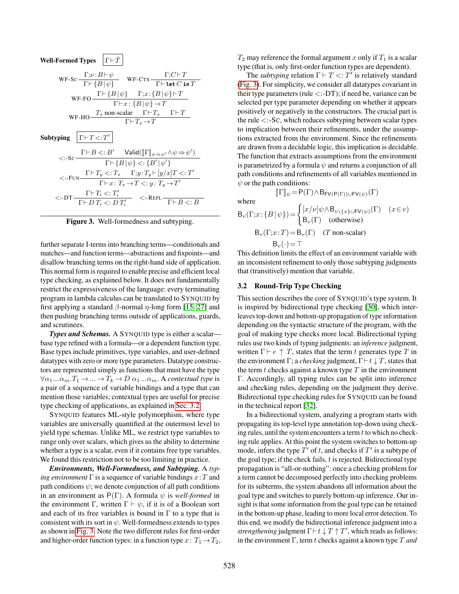| <b>Well-Formed Types</b> $ \Gamma \vdash \hat{T} $                                                                                                                                                  |
|-----------------------------------------------------------------------------------------------------------------------------------------------------------------------------------------------------|
| WF-SC $\frac{\Gamma;\nu:B\vdash\psi}{\Gamma\vdash{B \psi}}$ WF-CTX $\frac{\Gamma;C\vdash T}{\Gamma\vdash \text{let }C\text{ in }T}$                                                                 |
| WF-FO $\frac{\Gamma\vdash{B \psi\rbrace}\Gamma;x:\{B \psi\}\vdash T}{\Gamma\vdash x:\{B \psi\}\to T}$                                                                                               |
| $\text{WF-HO}\frac{T_x\ \text{non-scalar}\qquad \Gamma\vdash T_x\qquad \Gamma\vdash T}{\Gamma\vdash T_x\to T}$                                                                                      |
| Subtyping $ \Gamma \vdash T \lt; T' $                                                                                                                                                               |
| $<:\!\!s\mathrm{c}\frac{\Gamma{\vdash}B\mathrel{<:}B'\quad\mathsf{Valid}([\![\Gamma]\!]_{\psi{\Rightarrow}\psi'}\!\land\!\psi{\Rightarrow}\psi')}{\Gamma{\vdash}\{B\, \,\psi\} <:\{B'\, \,\psi'\}}$ |
| $<:\text{-}\textnormal{Fun}\xrightarrow{\Gamma\vdash T_y\,<:T_x\quad\Gamma\textnormal{;}\,y\,:\,T_y\vdash [y/x]T<:T'}$<br>$\overline{\Gamma \vdash x \colon T_x \to T} \leq: y \colon T_y \to T'$   |
| $\texttt{<:} \texttt{DT} \frac{\Gamma \vdash T_i <:} T'_i \qquad \texttt{<:} \texttt{REF} \frac{}{\Gamma \vdash B <: B}$                                                                            |

<span id="page-6-1"></span>Figure 3. Well-formedness and subtyping.

further separate I-terms into branching terms—conditionals and matches—and function terms—abstractions and fixpoints—and disallow branching terms on the right-hand side of application. This normal form is required to enable precise and efficient local type checking, as explained below. It does not fundamentally restrict the expressiveness of the language: every terminating program in lambda calculus can be translated to SYNQUID by first applying a standard  $\beta$ -normal  $\eta$ -long form [\[15,](#page-16-2) [27\]](#page-16-3) and then pushing branching terms outside of applications, guards, and scrutinees.

**Types and Schemas.** A SYNQUID type is either a scalar base type refined with a formula—or a dependent function type. Base types include primitives, type variables, and user-defined datatypes with zero or more type parameters. Datatype constructors are represented simply as functions that must have the type  $\forall \alpha_1...\alpha_m.T_1 \rightarrow ... \rightarrow T_k \rightarrow D \alpha_1...\alpha_m$ . A *contextual type* is a pair of a sequence of variable bindings and a type that can mention those variables; contextual types are useful for precise type checking of applications, as explained in [Sec. 3.2.](#page-6-0)

SYNQUID features ML-style polymorphism, where type variables are universally quantified at the outermost level to yield type schemas. Unlike ML, we restrict type variables to range only over scalars, which gives us the ability to determine whether a type is a scalar, even if it contains free type variables. We found this restriction not to be too limiting in practice.

*Environments, Well-Formedness, and Subtyping.* A *typing environment*  $\Gamma$  is a sequence of variable bindings  $x : T$  and path conditions  $\psi$ ; we denote conjunction of all path conditions in an environment as  $P(\Gamma)$ . A formula  $\psi$  is *well-formed* in the environment Γ, written  $\Gamma \vdash \psi$ , if it is of a Boolean sort and each of its free variables is bound in  $\Gamma$  to a type that is consistent with its sort in  $\psi$ . Well-formedness extends to types as shown in [Fig. 3.](#page-6-1) Note the two different rules for first-order and higher-order function types: in a function type  $x: T_1 \rightarrow T_2$ ,

 $T_2$  may reference the formal argument x only if  $T_1$  is a scalar type (that is, only first-order function types are dependent).

The *subtyping* relation  $\Gamma \vdash T \langle T' \rangle$  is relatively standard [\(Fig. 3\)](#page-6-1). For simplicity, we consider all datatypes covariant in their type parameters (rule  $\langle \cdot$  -DT); if need be, variance can be selected per type parameter depending on whether it appears positively or negatively in the constructors. The crucial part is the rule  $\lt$ :-SC, which reduces subtyping between scalar types to implication between their refinements, under the assumptions extracted from the environment. Since the refinements are drawn from a decidable logic, this implication is decidable. The function that extracts assumptions from the environment is parametrized by a formula  $\psi$  and returns a conjunction of all path conditions and refinements of all variables mentioned in  $\psi$  or the path conditions:

$$
[\![\Gamma]\!]_\psi\! =\! P(\Gamma) \! \wedge \! B_{\mathsf{FV}(\mathsf{P}(\Gamma)) \cup \mathsf{FV}(\psi)}(\Gamma)
$$

where

$$
B_v(\Gamma; x: \{B \mid \psi\}) = \begin{cases} [x/\nu] \psi \wedge B_{v \setminus \{x\} \cup \text{FV}(\psi)}(\Gamma) & (x \in v) \\ B_v(\Gamma) & \text{(otherwise)} \end{cases}
$$

$$
B_v(\Gamma; x: T) = B_v(\Gamma) \quad (T \text{ non-scalar})
$$

$$
B_v(\cdot) = T
$$

This definition limits the effect of an environment variable with an inconsistent refinement to only those subtyping judgments that (transitively) mention that variable.

#### <span id="page-6-0"></span>3.2 Round-Trip Type Checking

This section describes the core of SYNQUID's type system. It is inspired by bidirectional type checking [\[30\]](#page-16-12), which interleaves top-down and bottom-up propagation of type information depending on the syntactic structure of the program, with the goal of making type checks more local. Bidirectional typing rules use two kinds of typing judgments: an *inference* judgment, written  $\Gamma \vdash e \uparrow T$ , states that the term t generates type T in the environment  $\Gamma$ ; a *checking* judgment,  $\Gamma \vdash t \downarrow T$ , states that the term  $t$  checks against a known type  $T$  in the environment Γ. Accordingly, all typing rules can be split into inference and checking rules, depending on the judgment they derive. Bidirectional type checking rules for SYNQUID can be found in the technical report [\[32\]](#page-16-21).

In a bidirectional system, analyzing a program starts with propagating its top-level type annotation top-down using checking rules, until the system encounters a term  $t$  to which no checking rule applies. At this point the system switches to bottom-up mode, infers the type  $T'$  of t, and checks if  $T'$  is a subtype of the goal type; if the check fails,  $t$  is rejected. Bidirectional type propagation is "all-or-nothing": once a checking problem for a term cannot be decomposed perfectly into checking problems for its subterms, the system abandons all information about the goal type and switches to purely bottom-up inference. Our insight is that some information from the goal type can be retained in the bottom-up phase, leading to more local error detection. To this end, we modify the bidirectional inference judgment into a *strengthening* judgment  $\Gamma \vdash t \downarrow T \uparrow T'$ , which reads as follows: in the environment Γ, term t checks against a known type T *and*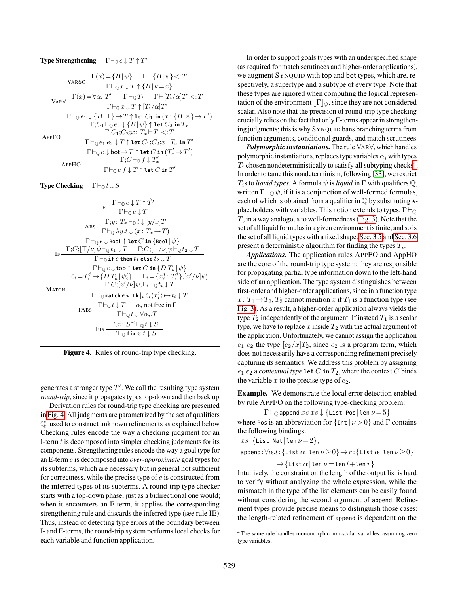

<span id="page-7-0"></span>Figure 4. Rules of round-trip type checking.

generates a stronger type  $T'$ . We call the resulting type system *round-trip*, since it propagates types top-down and then back up.

Derivation rules for round-trip type checking are presented in [Fig. 4.](#page-7-0) All judgments are parametrized by the set of qualifiers Q, used to construct unknown refinements as explained below. Checking rules encode the way a checking judgment for an I-term  $t$  is decomposed into simpler checking judgments for its components. Strengthening rules encode the way a goal type for an E-term e is decomposed into *over-approximate* goal types for its subterms, which are necessary but in general not sufficient for correctness, while the precise type of  $e$  is constructed from the inferred types of its subterms. A round-trip type checker starts with a top-down phase, just as a bidirectional one would; when it encounters an E-term, it applies the corresponding strengthening rule and discards the inferred type (see rule IE). Thus, instead of detecting type errors at the boundary between I- and E-terms, the round-trip system performs local checks for each variable and function application.

In order to support goals types with an underspecified shape (as required for match scrutinees and higher-order applications), we augment SYNQUID with top and bot types, which are, respectively, a supertype and a subtype of every type. Note that these types are ignored when computing the logical representation of the environment  $\llbracket \Gamma \rrbracket_w$ , since they are not considered scalar. Also note that the precision of round-trip type checking crucially relies on the fact that only E-terms appear in strengthening judgments; this is why SYNQUID bans branching terms from function arguments, conditional guards, and match scrutinees.

*Polymorphic instantiations*. The rule VAR∀, which handles polymorphic instantiations, replaces type variables  $\alpha_i$  with types  $T_i$  chosen nondeterministically to satisfy all subtyping checks<sup>[4](#page-7-1)</sup>. In order to tame this nondeterminism, following [\[33\]](#page-16-7), we restrict  $T_i$ s to *liquid types*. A formula  $\psi$  is *liquid* in  $\Gamma$  with qualifiers  $\mathbb{Q}$ , written  $\Gamma \vdash_{\mathbb{Q}} \psi$ , if it is a conjunction of well-formed formulas, each of which is obtained from a qualifier in  $\mathbb Q$  by substituting  $\star$ placeholders with variables. This notion extends to types,  $\Gamma\vdash_\mathbb{O}$ T, in a way analogous to well-formedness [\(Fig. 3\)](#page-6-1). Note that the set of all liquid formulas in a given environment is finite, and so is the set of all liquid types with a fixed shape. [Sec. 3.5](#page-9-0) and [Sec. 3.6](#page-10-0) present a deterministic algorithm for finding the types  $T_i$ .

*Applications.* The application rules APPFO and AppHO are the core of the round-trip type system: they are responsible for propagating partial type information down to the left-hand side of an application. The type system distinguishes between first-order and higher-order applications, since in a function type  $x: T_1 \rightarrow T_2, T_2$  cannot mention x if  $T_1$  is a function type (see [Fig. 3\)](#page-6-1). As a result, a higher-order application always yields the type  $T_2$  independently of the argument. If instead  $T_1$  is a scalar type, we have to replace x inside  $T_2$  with the actual argument of the application. Unfortunately, we cannot assign the application  $e_1$   $e_2$  the type  $[e_2/x]T_2$ , since  $e_2$  is a program term, which does not necessarily have a corresponding refinement precisely capturing its semantics. We address this problem by assigning  $e_1$   $e_2$  a *contextual type* **let**  $C$  **in**  $T_2$ , where the context  $C$  binds the variable x to the precise type of  $e_2$ .

Example. We demonstrate the local error detection enabled by rule APPFO on the following type-checking problem:

$$
\Gamma \vdash_{\mathbb{Q}} \mathsf{append} \; xs \; xs \downarrow \{\text{List Pos} \;|\; \text{Len}\; \nu \!=\! 5\}
$$

where Pos is an abbreviation for  $\{Int | \nu > 0\}$  and  $\Gamma$  contains the following bindings:

$$
xs\!:\!\{\mathsf{List} \ \mathsf{Nat} \,|\, \mathsf{len}\,\nu\!=\!2\};
$$

append: $\forall \alpha. l$ : {List  $\alpha$ |len  $\nu \geq 0$ }  $\rightarrow r$ : {List  $\alpha$ |len  $\nu \geq 0$ }  $\rightarrow$  {List  $\alpha$  | len  $\nu$  = len  $l$  + len  $r$ }

Intuitively, the constraint on the length of the output list is hard to verify without analyzing the whole expression, while the mismatch in the type of the list elements can be easily found without considering the second argument of append. Refinement types provide precise means to distinguish those cases: the length-related refinement of append is dependent on the

<span id="page-7-1"></span><sup>&</sup>lt;sup>4</sup> The same rule handles monomorphic non-scalar variables, assuming zero type variables.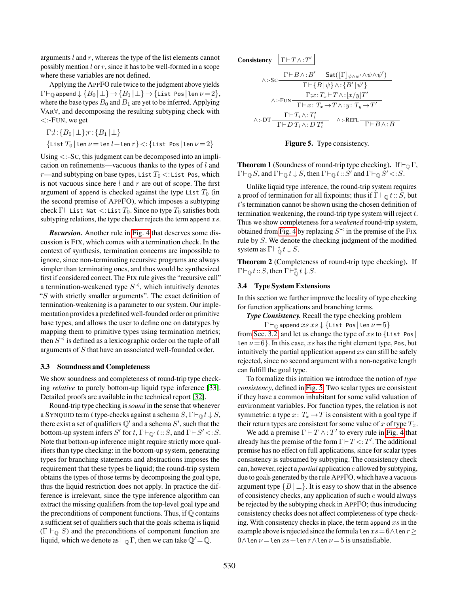arguments  $l$  and  $r$ , whereas the type of the list elements cannot possibly mention  $l$  or  $r$ , since it has to be well-formed in a scope where these variables are not defined.

Applying the APPFO rule twice to the judgment above yields  $\Gamma\vdash_{\mathbb{Q}}$  append  $\downarrow \{B_0 | \perp\} \rightarrow \{B_1 | \perp\} \rightarrow \{\text{List Pos} | \text{len } \nu = 2\},$ where the base types  $B_0$  and  $B_1$  are yet to be inferred. Applying VAR∀, and decomposing the resulting subtyping check with <:-FUN, we get

$$
\Gamma;l:\{B_0 \mid \perp\};r:\{B_1 \mid \perp\}\vdash
$$
  

$$
\{\text{List }T_0 \mid \text{len }\nu = \text{len }l + \text{len }r\} <:\{\text{List }Pos \mid \text{len }\nu = 2\}
$$

Using <:-SC, this judgment can be decomposed into an implication on refinements—vacuous thanks to the types of  $l$  and r—and subtyping on base types, List  $T_0$  <: List Pos, which is not vacuous since here  $l$  and  $r$  are out of scope. The first argument of append is checked against the type List  $T_0$  (in the second premise of APPFO), which imposes a subtyping check  $\Gamma\vdash$  List Nat  $\lt$ : List  $T_0$ . Since no type  $T_0$  satisfies both subtyping relations, the type checker rejects the term append  $xs$ .

*Recursion.* Another rule in [Fig. 4](#page-7-0) that deserves some discussion is FIX, which comes with a termination check. In the context of synthesis, termination concerns are impossible to ignore, since non-terminating recursive programs are always simpler than terminating ones, and thus would be synthesized first if considered correct. The FIX rule gives the "recursive call" a termination-weakened type  $S^{\prec}$ , which intuitively denotes "S with strictly smaller arguments". The exact definition of termination-weakening is a parameter to our system. Our implementation provides a predefined well-founded order on primitive base types, and allows the user to define one on datatypes by mapping them to primitive types using termination metrics; then  $S^{\prec}$  is defined as a lexicographic order on the tuple of all arguments of S that have an associated well-founded order.

#### 3.3 Soundness and Completeness

We show soundness and completeness of round-trip type checking *relative* to purely bottom-up liquid type inference [\[33\]](#page-16-7). Detailed proofs are available in the technical report [\[32\]](#page-16-21).

Round-trip type checking is*sound* in the sense that whenever a SYNQUID term t type-checks against a schema  $S, \Gamma \vdash_{\mathbb{Q}} t \downarrow S$ , there exist a set of qualifiers  $\mathbb{Q}'$  and a schema  $S'$ , such that the bottom-up system infers S' for t,  $\Gamma \vdash_{\mathbb{Q}'} t :: S$ , and  $\Gamma \vdash S' \lt : S$ . Note that bottom-up inference might require strictly more qualifiers than type checking: in the bottom-up system, generating types for branching statements and abstractions imposes the requirement that these types be liquid; the round-trip system obtains the types of those terms by decomposing the goal type, thus the liquid restriction does not apply. In practice the difference is irrelevant, since the type inference algorithm can extract the missing qualifiers from the top-level goal type and the preconditions of component functions. Thus, if  $\mathbb Q$  contains a sufficient set of qualifiers such that the goals schema is liquid  $(\Gamma \vdash_{\mathbb{Q}} S)$  and the preconditions of component function are liquid, which we denote as  $\vdash_{\mathbb{Q}} \Gamma$ , then we can take  $\mathbb{Q}' = \mathbb{Q}$ .

Consistency

\n
$$
\frac{\Gamma \vdash T \land : T'}{\Gamma \vdash B \land : B'}
$$
\n
$$
\frac{\Gamma \vdash B \land : B'}{\Gamma \vdash \{B \mid \psi\} \land : \{B' \mid \psi'\}}
$$
\n
$$
\frac{\Gamma; x : T_x \vdash T \land : [x/y]T'}{\Gamma \vdash x : T_x \to T \land : y : T_y \to T'}
$$
\n
$$
\land : \neg \text{DT} \frac{\Gamma \vdash T_i \land : T'_i}{\Gamma \vdash D T_i \land : D T'_i}
$$
\n
$$
\land : \neg \text{REF} \frac{\Gamma \vdash T_i \land \dots T'_i}{\Gamma \vdash D T_i \land \dots D T'_i}
$$
\n
$$
\land : \neg \text{REF} \frac{\Gamma \vdash T_i \land \dots T'_i}{\Gamma \vdash D \land \dots D T'_i}
$$

<span id="page-8-1"></span>

**Theorem 1** (Soundness of round-trip type checking). If  $\vdash_{\mathbb{Q}} \Gamma$ ,  $\Gamma \vdash_{\mathbb{Q}} S$ , and  $\Gamma \vdash_{\mathbb{Q}} t \downarrow S$ , then  $\Gamma \vdash_{\mathbb{Q}} t :: S'$  and  $\Gamma \vdash_{\mathbb{Q}} S' \lt : S$ .

Unlike liquid type inference, the round-trip system requires a proof of termination for all fixpoints; thus if  $\Gamma\vdash_{\mathbb{Q}} t:S$ , but t's termination cannot be shown using the chosen definition of termination weakening, the round-trip type system will reject  $t$ . Thus we show completeness for a *weakened* round-trip system, obtained from [Fig. 4](#page-7-0) by replacing  $S^{\prec}$  in the premise of the FIX rule by S. We denote the checking judgment of the modified system as  $\Gamma \vdash_{\mathbb{O}}^* t \downarrow S$ .

Theorem 2 (Completeness of round-trip type checking). If  $\Gamma \vdash_{\mathbb{Q}} t : S$ , then  $\Gamma \vdash_{\mathbb{Q}}^* t \downarrow S$ .

#### <span id="page-8-0"></span>3.4 Type System Extensions

In this section we further improve the locality of type checking for function applications and branching terms.

*Type Consistency.* Recall the type checking problem

 $\Gamma\vdash_{\mathbb{Q}}$  append  $xs$   $xs$   $\downarrow$  {List Pos|len  $\nu = 5$ }

from [Sec. 3.2,](#page-6-0) and let us change the type of xs to  $\{List\ Pos$ len  $\nu = 6$ . In this case, xs has the right element type, Pos, but intuitively the partial application append  $xs$  can still be safely rejected, since no second argument with a non-negative length can fulfill the goal type.

To formalize this intuition we introduce the notion of *type consistency*, defined in [Fig. 5.](#page-8-1) Two scalar types are consistent if they have a common inhabitant for some valid valuation of environment variables. For function types, the relation is not symmetric: a type  $x: T_x \to T$  is consistent with a goal type if their return types are consistent for some value of x of type  $T_x$ .

We add a premise  $\Gamma \vdash T \wedge : T'$  to every rule in [Fig. 4](#page-7-0) that already has the premise of the form  $\Gamma \vdash T \lt T'$ . The additional premise has no effect on full applications, since for scalar types consistency is subsumed by subtyping. The consistency check can, however, reject a *partial* application e allowed by subtyping, due to goals generated by the rule APPFO, which have a vacuous argument type  $\{B \mid \perp\}$ . It is easy to show that in the absence of consistency checks, any application of such e would always be rejected by the subtyping check in APPFO; thus introducing consistency checks does not affect completeness of type checking. With consistency checks in place, the term append  $xs$  in the example above is rejected since the formula len  $xs = 6 \wedge$ len  $r \geq$  $0 \wedge$ len  $\nu =$ len  $xs+$ len  $r \wedge$ len  $\nu = 5$  is unsatisfiable.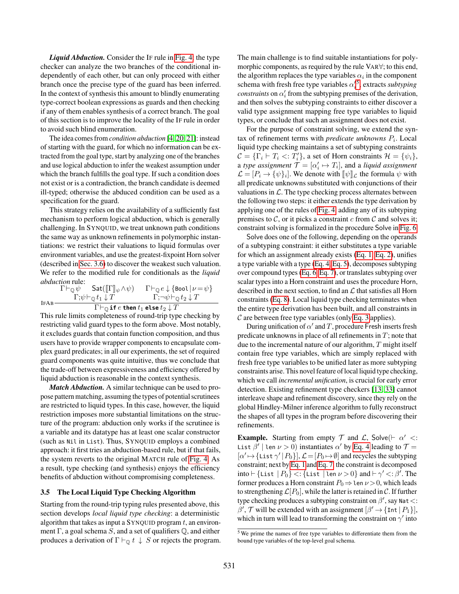*Liquid Abduction.* Consider the IF rule in [Fig. 4:](#page-7-0) the type checker can analyze the two branches of the conditional independently of each other, but can only proceed with either branch once the precise type of the guard has been inferred. In the context of synthesis this amount to blindly enumerating type-correct boolean expressions as guards and then checking if any of them enables synthesis of a correct branch. The goal of this section is to improve the locality of the IF rule in order to avoid such blind enumeration.

The idea comes from *condition abduction* [\[4,](#page-15-1) [20,](#page-16-4) [21\]](#page-16-5): instead of starting with the guard, for which no information can be extracted from the goal type, start by analyzing one of the branches and use logical abduction to infer the weakest assumption under which the branch fulfills the goal type. If such a condition does not exist or is a contradiction, the branch candidate is deemed ill-typed; otherwise the abduced condition can be used as a specification for the guard.

This strategy relies on the availability of a sufficiently fast mechanism to perform logical abduction, which is generally challenging. In SYNQUID, we treat unknown path conditions the same way as unknown refinements in polymorphic instantiations: we restrict their valuations to liquid formulas over environment variables, and use the greatest-fixpoint Horn solver (described in [Sec. 3.6\)](#page-10-0) to discover the weakest such valuation. We refer to the modified rule for conditionals as the *liquid abduction* rule:

$$
\Gamma \vdash_{\mathbb{Q}} \psi \quad \text{Sat}([\![\Gamma]\!]_{\psi} \land \psi) \quad \Gamma \vdash_{\mathbb{Q}} e \downarrow \{\text{Bool} \mid \nu = \psi\} \n\Gamma; \psi \vdash_{\mathbb{Q}} t_1 \downarrow T \quad \Gamma; \neg \psi \vdash_{\mathbb{Q}} t_2 \downarrow T \n\Gamma \vdash_{\mathbb{Q}} \text{if } e \text{ then } t_1 \text{ else } t_2 \downarrow T
$$

This rule limits completeness of round-trip type checking by restricting valid guard types to the form above. Most notably, it excludes guards that contain function composition, and thus users have to provide wrapper components to encapsulate complex guard predicates; in all our experiments, the set of required guard components was quite intuitive, thus we conclude that the trade-off between expressiveness and efficiency offered by liquid abduction is reasonable in the context synthesis.

*Match Abduction.* A similar technique can be used to propose pattern matching, assuming the types of potential scrutinees are restricted to liquid types. In this case, however, the liquid restriction imposes more substantial limitations on the structure of the program: abduction only works if the scrutinee is a variable and its datatype has at least one scalar constructor (such as Nil in List). Thus, SYNQUID employs a combined approach: it first tries an abduction-based rule, but if that fails, the system reverts to the original MATCH rule of [Fig. 4.](#page-7-0) As a result, type checking (and synthesis) enjoys the efficiency benefits of abduction without compromising completeness.

#### <span id="page-9-0"></span>3.5 The Local Liquid Type Checking Algorithm

Starting from the round-trip typing rules presented above, this section develops *local liquid type checking*: a deterministic algorithm that takes as input a  $SYNQUID$  program t, an environment Γ, a goal schema S, and a set of qualifiers  $\mathbb Q$ , and either produces a derivation of  $\Gamma \vdash_{\mathbb{Q}} t \downarrow S$  or rejects the program. The main challenge is to find suitable instantiations for polymorphic components, as required by the rule VAR∀; to this end, the algorithm replaces the type variables  $\alpha_i$  in the component schema with fresh free type variables  $\alpha_i^{\prime 5}$  $\alpha_i^{\prime 5}$  $\alpha_i^{\prime 5}$ , extracts *subtyping*  $constants$  on  $\alpha'_{i}$  from the subtyping premises of the derivation, and then solves the subtyping constraints to either discover a valid type assignment mapping free type variables to liquid types, or conclude that such an assignment does not exist.

For the purpose of constraint solving, we extend the syn- $\text{tax of refinement terms with } predicate \text{ unknowns } P_i$ . Local liquid type checking maintains a set of subtyping constraints  $C = \{\Gamma_i \vdash T_i \lt: T'_i\}$ , a set of Horn constraints  $\mathcal{H} = \{\psi_i\},\$ a *type assignment*  $\mathcal{T} = [\alpha'_i \mapsto T_i]$ , and a *liquid assignment*  $\mathcal{L} = [P_i \to {\psi}_i]$ . We denote with  ${\psi} \rbrack_{\mathcal{L}}$  the formula  $\psi$  with<br>all predicate unknowns substituted with conjunctions of their all predicate unknowns substituted with conjunctions of their valuations in  $\mathcal{L}$ . The type checking process alternates between the following two steps: it either extends the type derivation by applying one of the rules of [Fig. 4,](#page-7-0) adding any of its subtyping premises to  $C$ , or it picks a constraint c from  $C$  and solves it; constraint solving is formalized in the procedure Solve in [Fig. 6.](#page-10-2)

Solve does one of the following, depending on the operands of a subtyping constraint: it either substitutes a type variable for which an assignment already exists [\(Eq. 1,](#page-10-3) [Eq. 2\)](#page-10-4), unifies a type variable with a type [\(Eq. 4,](#page-10-5) [Eq. 5\)](#page-10-6), decomposes subtyping over compound types [\(Eq. 6,](#page-10-7) [Eq. 7\)](#page-10-8), or translates subtyping over scalar types into a Horn constraint and uses the procedure Horn, described in the next section, to find an  $\mathcal L$  that satisfies all Horn constraints [\(Eq. 8\)](#page-10-9). Local liquid type checking terminates when the entire type derivation has been built, and all constraints in  $C$  are between free type variables (only [Eq. 3](#page-10-10) applies).

During unification of  $\alpha'$  and T, procedure Fresh inserts fresh predicate unknowns in place of all refinements in  $T$ ; note that due to the incremental nature of our algorithm, T might itself contain free type variables, which are simply replaced with fresh free type variables to be unified later as more subtyping constraints arise. This novel feature of local liquid type checking, which we call *incremental unification*, is crucial for early error detection. Existing refinement type checkers [\[13,](#page-16-6) [33\]](#page-16-7) cannot interleave shape and refinement discovery, since they rely on the global Hindley-Milner inference algorithm to fully reconstruct the shapes of all types in the program before discovering their refinements.

**Example.** Starting from empty  $\mathcal{T}$  and  $\mathcal{L}$ , Solve( $\vdash \alpha' < \mathcal{L}$ ) List  $\beta'$  | len  $\nu > 0$ ) instantiates  $\alpha'$  by [Eq. 4](#page-10-5) leading to  $\mathcal{T} =$  $[\alpha' \mapsto {\text{List } \gamma' | P_0}], \mathcal{L} = [P_0 \mapsto \emptyset]$  and recycles the subtyping constraint; next by [Eq. 1](#page-10-3) and [Eq. 7,](#page-10-8) the constraint is decomposed into  $\vdash$  {List  $|P_0\}$  <: {List | len  $\nu > 0$ } and  $\vdash \gamma' < : \beta'.$  The former produces a Horn constraint  $P_0 \Rightarrow$  len  $\nu > 0$ , which leads to strengthening  $\mathcal{L}[P_0]$ , while the latter is retained in C. If further type checking produces a subtyping constraint on  $\beta'$ , say Nat <:  $\beta', \mathcal{T}$  will be extended with an assignment  $[\beta' \rightarrow \{\text{Int} | P_1\}],$ which in turn will lead to transforming the constraint on  $\gamma'$  into

<span id="page-9-1"></span><sup>5</sup> We prime the names of free type variables to differentiate them from the bound type variables of the top-level goal schema.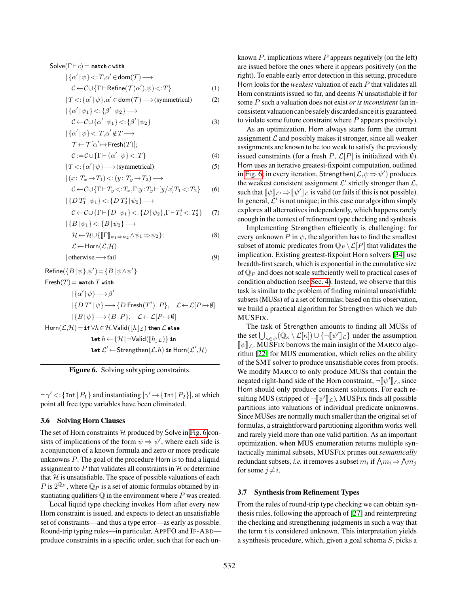Solve(
$$
\Gamma \vdash c
$$
) = match *c* with  
\n
$$
\{\{\alpha' \mid \psi\} <: T, \alpha' \in \text{dom}(T) \longrightarrow
$$
\n
$$
\mathcal{C} \leftarrow \mathcal{C} \cup \{\Gamma \vdash \text{Refine}(\mathcal{T}(\alpha'), \psi) <: T\}
$$
\n(1)

$$
|T\langle : \{\alpha' \,|\, \psi\}, \alpha' \in \text{dom}(\mathcal{T}) \longrightarrow \text{(symmetrical)} \tag{2}
$$

$$
|\{\alpha^{\prime}\,|\,\psi_{1}\}\,{<}\colon\!\{\beta^{\prime}\,|\,\psi_{2}\}\,{\longrightarrow}\,
$$

$$
\mathcal{C} \leftarrow \mathcal{C} \cup \{\alpha' \mid \psi_1\} < : \{\beta' \mid \psi_2\} \tag{3}
$$
\n
$$
\left\{\{\alpha' \mid \psi\}\right\} < : T, \alpha' \notin T \longrightarrow
$$

$$
\mathcal{T} \leftarrow \mathcal{T}[\alpha' \mapsto \mathsf{Fresh}(T)];
$$

$$
\mathcal{C} := \mathcal{C} \cup \{ \Gamma \vdash \{ \alpha' \mid \psi \} < : T \} \tag{4}
$$

$$
|T \lt \,; \{\alpha' \,|\, \psi\} \longrightarrow \text{(symmetrical)}\tag{5}
$$

$$
|(x: T_x \to T_1) \langle :(y: T_y \to T_2) \longrightarrow
$$
  

$$
\mathcal{C} \leftarrow \mathcal{C} \cup \{\Gamma \vdash T_y \langle :: T_x, \Gamma; y: T_y \vdash [y/x]T_1 \langle :: T_2 \} \rangle \tag{6}
$$

$$
\left|\{D T_1^i |\psi_1\} < \{D T_2^i |\psi_2\} \longrightarrow \right.
$$
  

$$
C \leftarrow C \cup \{\Gamma \vdash \{D |\psi_1\} < \{D |\psi_2\}, \Gamma \vdash T_1^i < T_2^i\} \quad (7)
$$

$$
\{B|\psi_1\} < \{B|\psi_2\} \longrightarrow
$$
  
\n
$$
\mathcal{H} \leftarrow \mathcal{H} \cup \{I[\Gamma]\} \qquad \qquad \wedge \psi_1 \Rightarrow \psi_2\}.
$$
 (8)

$$
\mathcal{H} \leftarrow \mathcal{H} \cup \{ \llbracket \Gamma \rrbracket_{\psi_1 \Rightarrow \psi_2} \land \psi_1 \Rightarrow \psi_2 \};
$$
\n
$$
\mathcal{L} \leftarrow \text{Horn}(\mathcal{L}, \mathcal{H})
$$
\n(8)

$$
|otherwise \longrightarrow fail
$$
 (9)

$$
\begin{aligned} \mathsf{Refine}(\{B \, | \, \psi\}, \psi') & = \{B \, | \, \psi \wedge \psi'\} \\ \mathsf{Fresh}(T) & = \mathsf{match}\, T\, \mathsf{with} \\ & \quad |\, \{\alpha' \, | \, \psi\} \longrightarrow \beta' \\ & \quad |\, \{D\, T^i \, | \, \psi\} \longrightarrow \{D\, \mathsf{Fresh}(T^i) \, | \, P\}, \quad \mathcal{L} \leftarrow \mathcal{L}[P \mapsto \emptyset] \\ & \quad |\, \{B \, | \, \psi\} \longrightarrow \{B \, | \, P\}, \quad \mathcal{L} \leftarrow \mathcal{L}[P \mapsto \emptyset] \\ \mathsf{Horn}(\mathcal{L}, \mathcal{H}) & = \mathbf{if} \, \forall h \in \mathcal{H}.\mathsf{Valid}(\llbracket h \rrbracket_{\mathcal{L}}) \; \mathsf{then} \; \mathcal{L} \; \mathsf{else} \\ & \quad \mathsf{let} \; h \leftarrow \{ \mathcal{H} \, | \, \neg \mathsf{Valid}(\llbracket h \rrbracket_{\mathcal{L}}) \} \; \mathsf{in} \\ & \quad \mathsf{let} \; \mathcal{L}' \leftarrow \mathsf{Stream}(\mathcal{L}, h) \; \mathsf{in} \; \mathsf{Horn}(\mathcal{L}', \mathcal{H}) \end{aligned}
$$

<span id="page-10-2"></span>Figure 6. Solving subtyping constraints.

 $\vdash \gamma' \lt:$ : {Int| $P_1$ } and instantiating  $[\gamma' \rightarrow$  {Int| $P_2$ }], at which point all free type variables have been eliminated.

## <span id="page-10-0"></span>3.6 Solving Horn Clauses

The set of Horn constraints  $H$  produced by Solve in [Fig. 6](#page-10-2) consists of implications of the form  $\psi \Rightarrow \psi'$ , where each side is a conjunction of a known formula and zero or more predicate unknowns P. The goal of the procedure Horn is to find a liquid assignment to  $P$  that validates all constraints in  $H$  or determine that  $H$  is unsatisfiable. The space of possible valuations of each P is  $2^{\mathbb{Q}_P}$ , where  $\mathbb{Q}_P$  is a set of atomic formulas obtained by instantiating qualifiers  $\mathbb Q$  in the environment where  $P$  was created.

Local liquid type checking invokes Horn after every new Horn constraint is issued, and expects to detect an unsatisfiable set of constraints—and thus a type error—as early as possible. Round-trip typing rules—in particular, APPFO and IF-ABD produce constraints in a specific order, such that for each un<span id="page-10-3"></span>known  $P$ , implications where  $P$  appears negatively (on the left) are issued before the ones where it appears positively (on the right). To enable early error detection in this setting, procedure Horn looks for the *weakest* valuation of each P that validates all Horn constraints issued so far, and deems  $H$  unsatisfiable if for some P such a valuation does not exist *or is inconsistent* (an inconsistent valuation can be safely discarded since it is guaranteed to violate some future constraint where  $P$  appears positively).

<span id="page-10-10"></span><span id="page-10-6"></span><span id="page-10-5"></span><span id="page-10-4"></span>As an optimization, Horn always starts form the current assignment  $\mathcal L$  and possibly makes it stronger, since all weaker assignments are known to be too weak to satisfy the previously issued constraints (for a fresh P,  $\mathcal{L}[P]$  is initialized with  $\emptyset$ ). Horn uses an iterative greatest-fixpoint computation, outlined in [Fig. 6;](#page-10-2) in every iteration, Strengthen $(\mathcal{L}, \psi \Rightarrow \psi')$  produces the weakest consistent assignment  $\mathcal{L}'$  strictly stronger than  $\mathcal{L}$ , such that  $[\![\psi]\!]_{\mathcal{L}} \Rightarrow [\![\psi']\!]_{\mathcal{L}}$  is valid (or fails if this is not possible).<br>In general,  $\mathcal{C}'$  is not unique; in this case our algorithm simply. In general,  $\mathcal{L}'$  is not unique; in this case our algorithm simply explores all alternatives independently, which happens rarely enough in the context of refinement type checking and synthesis.

<span id="page-10-9"></span><span id="page-10-8"></span><span id="page-10-7"></span>Implementing Strengthen efficiently is challenging: for every unknown P in  $\psi$ , the algorithm has to find the smallest subset of atomic predicates from  $\mathbb{Q}_P \backslash \mathcal{L}[P]$  that validates the implication. Existing greatest-fixpoint Horn solvers [\[34\]](#page-16-22) use breadth-first search, which is exponential in the cumulative size of  $\mathbb{Q}_P$  and does not scale sufficiently well to practical cases of condition abduction (see [Sec. 4\)](#page-11-0). Instead, we observe that this task is similar to the problem of finding minimal unsatisfiable subsets (MUSs) of a a set of formulas; based on this observation, we build a practical algorithm for Strengthen which we dub MUSFIX.

The task of Strengthen amounts to finding all MUSs of the set  $\bigcup_{\kappa \in \psi} (\mathbb{Q}_{\kappa} \setminus \mathcal{L}[\kappa]) \cup \{\neg [\psi']\]_{\mathcal{L}}\}$  under the assumption  $\llbracket \psi \rrbracket_{\mathcal{L}}$ . MUSFIX borrows the main insight of the MARCO algorithm [\[22\]](#page-16-13) for MUS enumeration, which relies on the ability of the SMT solver to produce unsatisfiable cores from proofs. We modify MARCO to only produce MUSs that contain the negated right-hand side of the Horn constraint,  $\neg$  $[\psi']_{\mathcal{L}}$ , since Horn should only produce consistent solutions. For each resulting MUS (stripped of  $\neg \llbracket \psi' \rrbracket_{\mathcal{L}}$ ), MUSFIX finds all possible<br>partitions into valuations of individual predicate unknowns partitions into valuations of individual predicate unknowns. Since MUSes are normally much smaller than the original set of formulas, a straightforward partitioning algorithm works well and rarely yield more than one valid partition. As an important optimization, when MUS enumeration returns multiple syntactically minimal subsets, MUSFIX prunes out *semantically* redundant subsets, *i.e.* it removes a subset  $m_i$  if  $\bigwedge m_i \Rightarrow \bigwedge m_j$ for some  $j \neq i$ .

## <span id="page-10-1"></span>3.7 Synthesis from Refinement Types

From the rules of round-trip type checking we can obtain synthesis rules, following the approach of [\[27\]](#page-16-3) and reinterpreting the checking and strengthening judgments in such a way that the term  $t$  is considered unknown. This interpretation yields a synthesis procedure, which, given a goal schema S, picks a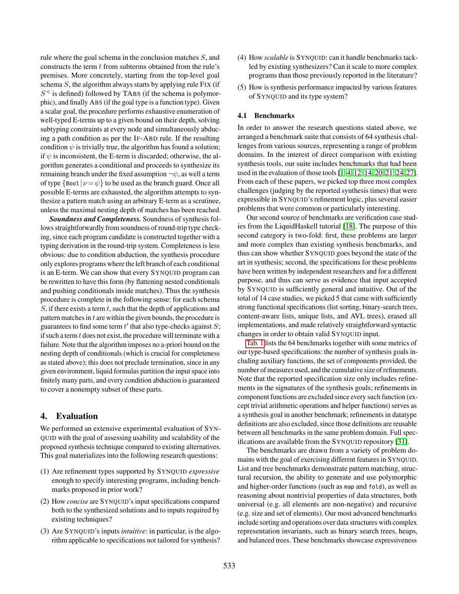rule where the goal schema in the conclusion matches  $S$ , and constructs the term  $t$  from subterms obtained from the rule's premises. More concretely, starting from the top-level goal schema  $S$ , the algorithm always starts by applying rule FIX (if  $S^{\prec}$  is defined) followed by TABS (if the schema is polymorphic), and finally ABS (if the goal type is a function type). Given a scalar goal, the procedure performs exhaustive enumeration of well-typed E-terms up to a given bound on their depth, solving subtyping constraints at every node and simultaneously abducing a path condition as per the IF-ABD rule. If the resulting condition  $\psi$  is trivially true, the algorithm has found a solution; if  $\psi$  is inconsistent, the E-term is discarded; otherwise, the algorithm generates a conditional and proceeds to synthesize its remaining branch under the fixed assumption  $\neg \psi$ , as well a term of type  $\{$ Bool $|v = \psi\}$  to be used as the branch guard. Once all possible E-terms are exhausted, the algorithm attempts to synthesize a pattern match using an arbitrary E-term as a scrutinee, unless the maximal nesting depth of matches has been reached.

*Soundness and Completeness.* Soundness of synthesis follows straightforwardly from soundness of round-trip type checking, since each program candidate is constructed together with a typing derivation in the round-trip system. Completeness is less obvious: due to condition abduction, the synthesis procedure only explores programs where the left branch of each conditional is an E-term. We can show that every SYNQUID program can be rewritten to have this form (by flattening nested conditionals and pushing conditionals inside matches). Thus the synthesis procedure is complete in the following sense: for each schema  $S$ , if there exists a term t, such that the depth of applications and pattern matches in  $t$  are within the given bounds, the procedure is guarantees to find some term  $t'$  that also type-checks against  $S$ ; if such a term  $t$  does not exist, the procedure will terminate with a failure. Note that the algorithm imposes no a-priori bound on the nesting depth of conditionals (which is crucial for completeness as stated above); this does not preclude termination, since in any given environment, liquid formulas partition the input space into finitely many parts, and every condition abduction is guaranteed to cover a nonempty subset of these parts.

# <span id="page-11-0"></span>4. Evaluation

We performed an extensive experimental evaluation of SYN-QUID with the goal of assessing usability and scalability of the proposed synthesis technique compared to existing alternatives. This goal materializes into the following research questions:

- (1) Are refinement types supported by SYNQUID *expressive* enough to specify interesting programs, including benchmarks proposed in prior work?
- (2) How *concise* are SYNQUID's input specifications compared both to the synthesized solutions and to inputs required by existing techniques?
- (3) Are SYNQUID's inputs *intuitive*: in particular, is the algorithm applicable to specifications not tailored for synthesis?
- (4) How *scalable* is SYNQUID: can it handle benchmarks tackled by existing synthesizers? Can it scale to more complex programs than those previously reported in the literature?
- (5) How is synthesis performance impacted by various features of SYNQUID and its type system?

## 4.1 Benchmarks

In order to answer the research questions stated above, we arranged a benchmark suite that consists of 64 synthesis challenges from various sources, representing a range of problem domains. In the interest of direct comparison with existing synthesis tools, our suite includes benchmarks that had been used in the evaluation of those tools [\[1,](#page-15-0) [4,](#page-15-1) [12,](#page-16-0) [14,](#page-16-1) [20,](#page-16-4) [21,](#page-16-5) [24,](#page-16-23) [27\]](#page-16-3). From each of these papers, we picked top three most complex challenges (judging by the reported synthesis times) that were expressible in SYNQUID's refinement logic, plus several easier problems that were common or particularly interesting.

Our second source of benchmarks are verification case studies from the LiquidHaskell tutorial [\[18\]](#page-16-24). The purpose of this second category is two-fold: first, these problems are larger and more complex than existing synthesis benchmarks, and thus can show whether SYNQUID goes beyond the state of the art in synthesis; second, the specifications for these problems have been written by independent researchers and for a different purpose, and thus can serve as evidence that input accepted by SYNQUID is sufficiently general and intuitive. Out of the total of 14 case studies, we picked 5 that came with sufficiently strong functional specifications (list sorting, binary-search trees, content-aware lists, unique lists, and AVL trees), erased all implementations, and made relatively straightforward syntactic changes in order to obtain valid SYNQUID input.

[Tab. 1](#page-12-0) lists the 64 benchmarks together with some metrics of our type-based specifications: the number of synthesis goals including auxiliary functions, the set of components provided, the number of measures used, and the cumulative size of refinements. Note that the reported specification size only includes refinements in the signatures of the synthesis goals; refinements in component functions are excluded since every such function (except trivial arithmetic operations and helper functions) serves as a synthesis goal in another benchmark; refinements in datatype definitions are also excluded, since those definitions are reusable between all benchmarks in the same problem domain. Full specifications are available from the SYNQUID repository [\[31\]](#page-16-14).

The benchmarks are drawn from a variety of problem domains with the goal of exercising different features in SYNQUID. List and tree benchmarks demonstrate pattern matching, structural recursion, the ability to generate and use polymorphic and higher-order functions (such as map and fold), as well as reasoning about nontrivial properties of data structures, both universal (e.g. all elements are non-negative) and recursive (e.g. size and set of elements). Our most advanced benchmarks include sorting and operations over data structures with complex representation invariants, such as binary search trees, heaps, and balanced trees. These benchmarks showcase expressiveness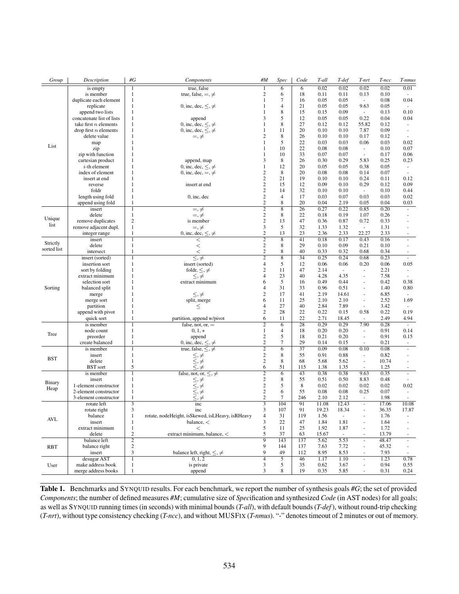| Group       | Description                  | #G                           | Components                                                                          | #M                               | Spec                          | Code            | T-all        | T-def                    | T-nrt                    | T-ncc        | T-nmus                             |
|-------------|------------------------------|------------------------------|-------------------------------------------------------------------------------------|----------------------------------|-------------------------------|-----------------|--------------|--------------------------|--------------------------|--------------|------------------------------------|
|             | is empty                     | $\mathbf{1}$                 | true, false                                                                         | 1                                | 6                             | $\overline{6}$  | 0.02         | 0.02                     | 0.02                     | 0.02         | 0.01                               |
|             | is member                    | 1                            | true, false, $=$ , $\neq$                                                           | $\boldsymbol{2}$                 | 6                             | 18              | 0.11         | 0.11                     | 0.13                     | 0.10         |                                    |
|             | duplicate each element       | $\mathbf{1}$                 |                                                                                     | $\mathbf{1}$                     | $\tau$                        | 16              | 0.05         | 0.05                     | $\overline{\phantom{a}}$ | 0.08         | 0.04                               |
|             | replicate                    | $\mathbf{1}$                 | 0, inc, dec, $\leq, \neq$                                                           | $\mathbf{1}$                     | $\overline{4}$                | 21              | 0.05         | 0.05                     | 9.63                     | 0.05         | $\overline{\phantom{a}}$           |
|             | append two lists             | $\mathbf{1}$                 |                                                                                     | $\mathbf{1}$                     | 8                             | 15              | 0.15         | 0.09                     | $\overline{\phantom{a}}$ | 0.13         | 0.10                               |
|             | concatenate list of lists    | 1                            | append                                                                              | 3                                | 5                             | 12              | 0.05         | 0.05                     | 0.22                     | 0.04         | 0.04                               |
|             | take first $n$ elements      | $\mathbf{1}$                 | 0, inc, dec, $\leq, \neq$                                                           | 1                                | 8                             | 27              | 0.12         | 0.12                     | 55.82                    | 0.12         | $\overline{\phantom{a}}$           |
|             | drop first $n$ elements      | $\mathbf{1}$<br>$\mathbf{1}$ | 0, inc, dec, $\leq, \neq$                                                           | 1<br>$\overline{c}$              | 11<br>8                       | 20              | 0.10         | 0.10                     | 7.87                     | 0.09         | $\overline{\phantom{a}}$<br>$\sim$ |
|             | delete value                 | 1                            | $=$ , $\neq$                                                                        | 1                                | 5                             | 26<br>22        | 0.10<br>0.03 | 0.10<br>0.03             | 0.17<br>0.06             | 0.12<br>0.03 | 0.02                               |
| List        | map<br>zip                   | 1                            |                                                                                     | 1                                | 10                            | 22              | 0.08         | 0.08                     | $\overline{\phantom{a}}$ | 0.10         | 0.07                               |
|             | zip with function            | $\mathbf{1}$                 |                                                                                     | $\mathbf{1}$                     | 10                            | 33              | 0.07         | 0.07                     | $\overline{\phantom{a}}$ | 0.17         | 0.06                               |
|             | cartesian product            | 1                            | append, map                                                                         | 3                                | 8                             | 26              | 0.30         | 0.29                     | 5.83                     | 0.25         | 0.23                               |
|             | $i$ -th element              | 1                            | 0, inc, dec, $\leq, \neq$                                                           | 1                                | 12                            | 20              | 0.05         | 0.05                     | 0.38                     | 0.05         | $\sim$                             |
|             | index of element             | $\mathbf{1}$                 | 0, inc, dec, $=$ , $\neq$                                                           | $\overline{c}$                   | 8                             | 20              | 0.08         | 0.08                     | 0.14                     | 0.07         | $\overline{\phantom{a}}$           |
|             | insert at end                | 1                            |                                                                                     | $\mathbf{2}$                     | 21                            | 19              | 0.10         | 0.10                     | 0.24                     | 0.11         | 0.12                               |
|             | reverse                      | 1                            | insert at end                                                                       | $\mathbf{2}$                     | 15                            | 12              | 0.09         | 0.10                     | 0.29                     | 0.12         | 0.09                               |
|             | foldr                        | $\mathbf{1}$                 |                                                                                     | $\mathbf{2}$                     | 14                            | 32              | 0.10         | 0.10                     | $\overline{\phantom{a}}$ | 0.10         | 0.44                               |
|             | length using fold            | 1                            | $0$ , inc, dec                                                                      | $\mathbf{2}$                     | 4                             | 17              | 0.03         | 0.07                     | 0.03                     | 0.03         | 0.02                               |
|             | append using fold            | 1                            |                                                                                     | $\mathbf{2}$                     | 8                             | 20              | 0.04         | 2.19                     | 0.05                     | 0.04         | 0.03                               |
|             | insert                       | $\mathbf{1}$                 | $=$ , $\neq$                                                                        | $\overline{2}$                   | $\overline{8}$                | $\overline{26}$ | 0.27         | 0.22                     | 0.85                     | 0.20         | $\blacksquare$                     |
| Unique      | delete                       | $\mathbf{1}$                 | $=, \neq$                                                                           | $\mathbf{2}$                     | 8                             | 22              | 0.18         | 0.19                     | 1.07                     | 0.26         |                                    |
| list        | remove duplicates            | $\boldsymbol{2}$             | is member                                                                           | $\mathbf{2}$                     | 13                            | 47              | 0.36         | 0.87                     | 0.72                     | 0.33         |                                    |
|             | remove adjacent dupl.        | $\mathbf{1}$                 | $=, \neq$                                                                           | 3<br>$\overline{c}$              | 5<br>13                       | 32              | 1.33         | 1.32                     | $\blacksquare$           | 1.31         |                                    |
|             | integer range                | 1                            | 0, inc, dec, $\leq, \neq$                                                           |                                  |                               | 23<br>41        | 2.36         | 2.33                     | 22.27                    | 2.33         |                                    |
| Strictly    | insert<br>delete             | 1<br>$\mathbf{1}$            | $\,<$<br>$\lt$                                                                      | $\overline{2}$<br>$\overline{c}$ | 8<br>8                        | 29              | 0.18<br>0.10 | 0.17<br>0.09             | 0.43<br>0.21             | 0.16<br>0.10 | ä,<br>$\overline{\phantom{a}}$     |
| sorted list | intersect                    | $\mathbf{1}$                 | $\lt$                                                                               | $\mathbf{2}$                     | 8                             | 40              | 0.33         | 0.32                     | 0.68                     | 0.34         | $\sim$                             |
|             | insert (sorted)              | $\overline{1}$               | $\leq, \neq$                                                                        | $\overline{2}$                   | $\overline{8}$                | $\overline{34}$ | 0.25         | 0.24                     | 0.68                     | 0.23         | $\blacksquare$                     |
|             | insertion sort               | $\mathbf{1}$                 | insert (sorted)                                                                     | $\overline{4}$                   | 5                             | 12              | 0.06         | 0.06                     | 0.20                     | 0.06         | 0.05                               |
|             | sort by folding              | 1                            | foldr, $\leq, \neq$                                                                 | $\overline{c}$                   | 11                            | 47              | 2.14         | $\omega$                 | ÷.                       | 2.21         | ÷                                  |
|             | extract minimum              | $\mathbf{1}$                 | $\leq, \neq$                                                                        | $\overline{4}$                   | 23                            | 40              | 4.28         | 4.35                     | ÷,                       | 7.58         | $\overline{\phantom{a}}$           |
|             | selection sort               | 1                            | extract minimum                                                                     | 6                                | 5                             | 16              | 0.49         | 0.44                     | ÷,                       | 0.42         | 0.38                               |
| Sorting     | balanced split               | 1                            |                                                                                     | $\overline{4}$                   | 31                            | 33              | 0.96         | 0.51                     | ÷,                       | 1.40         | 0.80                               |
|             | merge                        | $\mathbf{1}$                 | $\leq, \neq$                                                                        | $\overline{c}$                   | 17                            | 41              | 2.19         | 14.61                    | ÷,                       | 6.85         | $\sim$                             |
|             | merge sort                   | 1                            | split, merge                                                                        | 6                                | 11                            | 25              | 2.10         | 2.10                     | $\blacksquare$           | 2.52         | 1.69                               |
|             | partition                    | 1                            | $\leq$                                                                              | $\overline{4}$                   | 27                            | 40              | 2.84         | 7.89                     | $\overline{\phantom{a}}$ | 3.42         | $\overline{\phantom{a}}$           |
|             | append with pivot            | $\mathbf{1}$                 |                                                                                     | $\mathbf{2}$                     | 28                            | 22              | 0.22         | 0.15                     | 0.58                     | 0.22         | 0.19                               |
|             | quick sort                   | 1                            | partition, append w/pivot                                                           | 6                                | 11                            | 22              | 2.71         | 18.45                    | $\omega$                 | 2.49         | 4.94                               |
|             | is member                    | 1                            | false, not, or, $=$                                                                 | $\overline{2}$                   | $\overline{6}$                | $\overline{28}$ | 0.29         | 0.29                     | 7.90                     | 0.28         | $\sim$                             |
| Tree        | node count                   | $\mathbf{1}$                 | $0, 1, +$                                                                           | 1                                | 4                             | 18              | 0.20         | 0.20                     | ÷,                       | 0.91         | 0.14                               |
|             | preorder                     | $\mathbf{1}$                 | append                                                                              | $\mathbf{2}$                     | 5<br>$\overline{\mathcal{I}}$ | 18              | 0.21         | 0.20                     | ÷,                       | 0.91         | 0.15                               |
|             | create balanced<br>is member | 1<br>1                       | 0, inc, dec, $\leq, \neq$<br>true, false, $\leq$ , $\neq$                           | $\mathbf{2}$<br>$\overline{2}$   | $\overline{6}$                | 29<br>37        | 0.14<br>0.09 | 0.15<br>0.08             | $\blacksquare$<br>0.10   | 0.21<br>0.08 | ÷<br>$\overline{\phantom{a}}$      |
|             | insert                       | $\mathbf{1}$                 |                                                                                     | $\sqrt{2}$                       | 8                             | 55              | 0.91         | 0.88                     | $\overline{\phantom{a}}$ | 0.82         |                                    |
| <b>BST</b>  | delete                       | $\mathbf{1}$                 | $\leq,\neq\leq,\neq$                                                                | $\mathbf{2}$                     | $\,$ 8 $\,$                   | 68              | 5.68         | 5.62                     | $\blacksquare$           | 10.74        | ä,                                 |
|             | <b>BST</b> sort              | 5                            | $\leq, \neq$                                                                        | 6                                | 51                            | 115             | 1.38         | 1.35                     | $\overline{\phantom{a}}$ | 1.25         | ÷,                                 |
|             | is member                    | 1                            | false, not, or, $\leq, \neq$                                                        | $\overline{2}$                   | $\overline{6}$                | 43              | 0.38         | 0.38                     | 9.63                     | 0.35         | $\overline{\phantom{a}}$           |
|             | insert                       | $\mathbf{1}$                 |                                                                                     | $\mathbf{2}$                     | 8                             | 55              | 0.51         | 0.50                     | 8.83                     | 0.48         |                                    |
| Binary      | 1-element constructor        | $\mathbf{1}$                 |                                                                                     | $\mathbf{2}$                     | 5                             | 8               | 0.02         | 0.02                     | 0.02                     | 0.02         | 0.02                               |
| Heap        | 2-element constructor        | $\mathbf{1}$                 |                                                                                     | $\sqrt{2}$                       | 6                             | 55              | 0.08         | 0.08                     | 0.25                     | 0.07         | $\overline{\phantom{a}}$           |
|             | 3-element constructor        | $\mathbf{1}$                 | $\begin{array}{l} \leq, \neq \\ \leq, \neq \\ \leq, \neq \\ \leq, \neq \end{array}$ | $\overline{c}$                   | $\tau$                        | 246             | 2.10         | 2.12                     | $\overline{\phantom{a}}$ | 1.98         | $\overline{\phantom{a}}$           |
|             | rotate left                  | $\overline{3}$               | inc                                                                                 | $\overline{\overline{3}}$        | 104                           | 91              | 11.08        | 12.43                    | $\blacksquare$           | 17.06        | 10.08                              |
| <b>AVL</b>  | rotate right                 | 3                            | inc                                                                                 | 3                                | 107                           | 91              | 19.23        | 18.34                    | $\overline{\phantom{a}}$ | 36.35        | 17.87                              |
|             | balance                      | 1                            | rotate, nodeHeight, isSkewed, isLHeavy, isRHeavy                                    | $\overline{4}$                   | $31\,$                        | 119             | 1.56         | $\blacksquare$           | $\overline{\phantom{0}}$ | 1.76         |                                    |
|             | insert                       | $\mathbf{1}$                 | balance, $\lt$                                                                      | 3                                | 22                            | 47              | 1.84         | 1.81                     | $\overline{\phantom{a}}$ | 1.64         |                                    |
|             | extract minimum              | $\mathbf{1}$                 | $\,<$                                                                               | 5                                | 11                            | 25              | 1.92         | 1.87                     |                          | 1.72         |                                    |
|             | delete                       | $\mathbf{2}$                 | extract minimum, balance, $<$                                                       | 5                                | 37                            | 63              | 15.67        | $\overline{\phantom{a}}$ | $\blacksquare$           | 13.79        | $\overline{\phantom{a}}$           |
|             | balance left                 | $\overline{2}$               |                                                                                     | $\overline{9}$                   | 143                           | 137             | 5.62         | 5.53                     | $\blacksquare$           | 48.47        | $\overline{\phantom{a}}$           |
| <b>RBT</b>  | balance right                | $\mathbf{2}$<br>3            | balance left, right, $\leq, \neq$                                                   | 9<br>9                           | 144                           | 137             | 7.63         | 7.72                     | ÷,                       | 45.32        | $\overline{\phantom{a}}$           |
|             | insert<br>desugar AST        |                              | 0, 1, 2                                                                             | $\overline{4}$                   | 49<br>$\overline{5}$          | 112<br>46       | 8.95<br>1.17 | 8.53<br>1.10             | $\blacksquare$           | 7.93<br>1.23 | $\overline{\phantom{a}}$<br>0.78   |
| User        | make address book            | $\mathbf{1}$<br>$\mathbf{1}$ | is private                                                                          | 3                                | 5                             | 35              | 0.62         | 3.67                     | ÷,<br>$\frac{1}{2}$      | 0.94         | 0.55                               |
|             | merge address books          | $\mathbf{1}$                 | append                                                                              | 3                                | 8                             | 19              | 0.35         | 5.85                     | ÷,                       | 0.31         | 0.24                               |
|             |                              |                              |                                                                                     |                                  |                               |                 |              |                          |                          |              |                                    |

<span id="page-12-0"></span>Table 1. Benchmarks and SYNQUID results. For each benchmark, we report the number of synthesis goals *#G*; the set of provided *Components*; the number of defined measures *#M*; cumulative size of *Spec*ification and synthesized *Code* (in AST nodes) for all goals; as well as SYNQUID running times (in seconds) with minimal bounds (*T-all*), with default bounds (*T-def*), without round-trip checking (*T-nrt*), without type consistency checking (*T-ncc*), and without MUSFIX (*T-nmus*). "-" denotes timeout of 2 minutes or out of memory.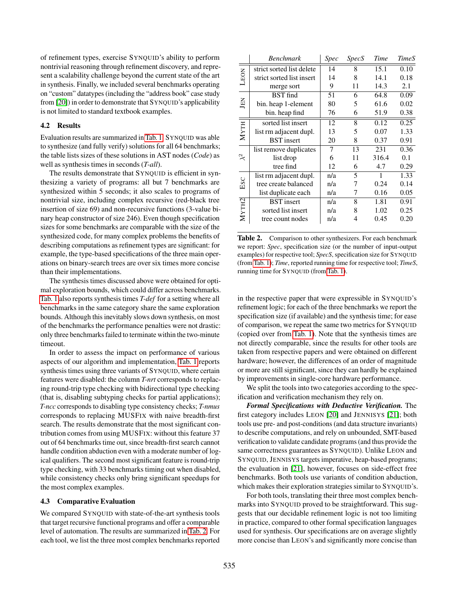of refinement types, exercise SYNQUID's ability to perform nontrivial reasoning through refinement discovery, and represent a scalability challenge beyond the current state of the art in synthesis. Finally, we included several benchmarks operating on "custom" datatypes (including the "address book" case study from [\[20\]](#page-16-4)) in order to demonstrate that SYNQUID's applicability is not limited to standard textbook examples.

#### 4.2 Results

Evaluation results are summarized in [Tab. 1.](#page-12-0) SYNQUID was able to synthesize (and fully verify) solutions for all 64 benchmarks; the table lists sizes of these solutions in AST nodes (*Code*) as well as synthesis times in seconds (*T-all*).

The results demonstrate that SYNQUID is efficient in synthesizing a variety of programs: all but 7 benchmarks are synthesized within 5 seconds; it also scales to programs of nontrivial size, including complex recursive (red-black tree insertion of size 69) and non-recursive functions (3-value binary heap constructor of size 246). Even though specification sizes for some benchmarks are comparable with the size of the synthesized code, for many complex problems the benefits of describing computations as refinement types are significant: for example, the type-based specifications of the three main operations on binary-search trees are over six times more concise than their implementations.

The synthesis times discussed above were obtained for optimal exploration bounds, which could differ across benchmarks. [Tab. 1](#page-12-0) also reports synthesis times *T-def* for a setting where all benchmarks in the same category share the same exploration bounds. Although this inevitably slows down synthesis, on most of the benchmarks the performance penalties were not drastic: only three benchmarks failed to terminate within the two-minute timeout.

In order to assess the impact on performance of various aspects of our algorithm and implementation, [Tab. 1](#page-12-0) reports synthesis times using three variants of SYNQUID, where certain features were disabled: the column *T-nrt* corresponds to replacing round-trip type checking with bidirectional type checking (that is, disabling subtyping checks for partial applications); *T-ncc* corresponds to disabling type consistency checks; *T-nmus* corresponds to replacing MUSFIX with naive breadth-first search. The results demonstrate that the most significant contribution comes from using MUSFIX: without this feature 37 out of 64 benchmarks time out, since breadth-first search cannot handle condition abduction even with a moderate number of logical qualifiers. The second most significant feature is round-trip type checking, with 33 benchmarks timing out when disabled, while consistency checks only bring significant speedups for the most complex examples.

#### 4.3 Comparative Evaluation

We compared SYNQUID with state-of-the-art synthesis tools that target recursive functional programs and offer a comparable level of automation. The results are summarized in [Tab. 2.](#page-13-0) For each tool, we list the three most complex benchmarks reported

|                                    | <b>Benchmark</b>          | <i>Spec</i> | <i>SpecS</i> | Time  | <b>TimeS</b> |
|------------------------------------|---------------------------|-------------|--------------|-------|--------------|
| LEON                               | strict sorted list delete | 14          | 8            | 15.1  | 0.10         |
|                                    | strict sorted list insert | 14          | 8            | 14.1  | 0.18         |
|                                    | merge sort                | 9           | 11           | 14.3  | 2.1          |
| JEN                                | <b>BST</b> find           | 51          | 6            | 64.8  | 0.09         |
|                                    | bin. heap 1-element       | 80          | 5            | 61.6  | 0.02         |
|                                    | bin. heap find            | 76          | 6            | 51.9  | 0.38         |
| <b>MYTH</b>                        | sorted list insert        | 12          | 8            | 0.12  | 0.25         |
|                                    | list rm adjacent dupl.    | 13          | 5            | 0.07  | 1.33         |
|                                    | <b>BST</b> insert         | 20          | 8            | 0.37  | 0.91         |
| $\approx$                          | list remove duplicates    | 7           | 13           | 231   | 0.36         |
|                                    | list drop                 | 6           | 11           | 316.4 | 0.1          |
|                                    | tree find                 | 12          | 6            | 4.7   | 0.29         |
| $_{\rm{esc}}$<br>M <sub>YTH2</sub> | list rm adjacent dupl.    | n/a         | 5            | 1     | 1.33         |
|                                    | tree create balanced      | n/a         | 7            | 0.24  | 0.14         |
|                                    | list duplicate each       | n/a         | 7            | 0.16  | 0.05         |
|                                    | <b>BST</b> insert         | n/a         | 8            | 1.81  | 0.91         |
|                                    | sorted list insert        | n/a         | 8            | 1.02  | 0.25         |
|                                    | tree count nodes          | n/a         | 4            | 0.45  | 0.20         |

<span id="page-13-0"></span>Table 2. Comparison to other synthesizers. For each benchmark we report: *Spec*, specification size (or the number of input-output examples) for respective tool; *SpecS*, specification size for SYNQUID (from [Tab. 1\)](#page-12-0); *Time*, reported running time for respective tool; *TimeS*, running time for SYNQUID (from [Tab. 1\)](#page-12-0).

in the respective paper that were expressible in SYNQUID's refinement logic; for each of the three benchmarks we report the specification size (if available) and the synthesis time; for ease of comparison, we repeat the same two metrics for SYNQUID (copied over from [Tab. 1\)](#page-12-0). Note that the synthesis times are not directly comparable, since the results for other tools are taken from respective papers and were obtained on different hardware; however, the differences of an order of magnitude or more are still significant, since they can hardly be explained by improvements in single-core hardware performance.

We split the tools into two categories according to the specification and verification mechanism they rely on.

*Formal Specifications with Deductive Verification.* The first category includes LEON [\[20\]](#page-16-4) and JENNISYS [\[21\]](#page-16-5); both tools use pre- and post-conditions (and data structure invariants) to describe computations, and rely on unbounded, SMT-based verification to validate candidate programs (and thus provide the same correctness guarantees as SYNQUID). Unlike LEON and SYNQUID, JENNISYS targets imperative, heap-based programs; the evaluation in [\[21\]](#page-16-5), however, focuses on side-effect free benchmarks. Both tools use variants of condition abduction, which makes their exploration strategies similar to SYNQUID's.

For both tools, translating their three most complex benchmarks into SYNQUID proved to be straightforward. This suggests that our decidable refinement logic is not too limiting in practice, compared to other formal specification languages used for synthesis. Our specifications are on average slightly more concise than LEON's and significantly more concise than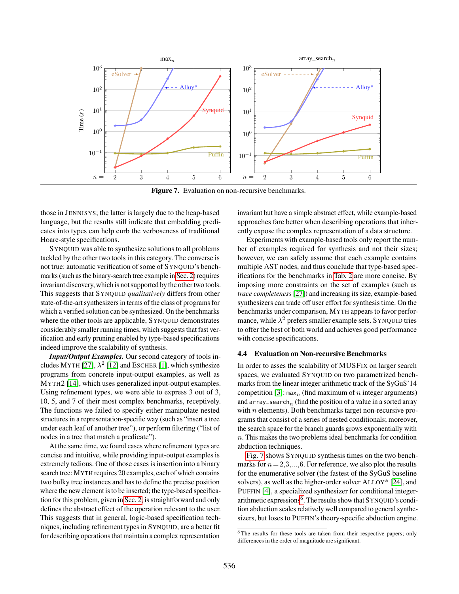

<span id="page-14-0"></span>Figure 7. Evaluation on non-recursive benchmarks.

those in JENNISYS; the latter is largely due to the heap-based language, but the results still indicate that embedding predicates into types can help curb the verboseness of traditional Hoare-style specifications.

SYNQUID was able to synthesize solutions to all problems tackled by the other two tools in this category. The converse is not true: automatic verification of some of SYNQUID's benchmarks (such as the binary-search tree example in [Sec. 2\)](#page-2-1) requires invariant discovery, which is not supported by the other two tools. This suggests that SYNQUID *qualitatively* differs from other state-of-the-art synthesizers in terms of the class of programs for which a verified solution can be synthesized. On the benchmarks where the other tools are applicable, SYNQUID demonstrates considerably smaller running times, which suggests that fast verification and early pruning enabled by type-based specifications indeed improve the scalability of synthesis.

*Input/Output Examples.* Our second category of tools in-cludes MYTH [\[27\]](#page-16-3),  $\lambda^2$  [\[12\]](#page-16-0) and ESCHER [\[1\]](#page-15-0), which synthesize programs from concrete input-output examples, as well as MYTH2 [\[14\]](#page-16-1), which uses generalized input-output examples. Using refinement types, we were able to express 3 out of 3, 10, 5, and 7 of their most complex benchmarks, receptively. The functions we failed to specify either manipulate nested structures in a representation-specific way (such as "insert a tree under each leaf of another tree"), or perform filtering ("list of nodes in a tree that match a predicate").

At the same time, we found cases where refinement types are concise and intuitive, while providing input-output examples is extremely tedious. One of those cases is insertion into a binary search tree: MYTH requires 20 examples, each of which contains two bulky tree instances and has to define the precise position where the new element is to be inserted; the type-based specification for this problem, given in [Sec. 2,](#page-2-1) is straightforward and only defines the abstract effect of the operation relevant to the user. This suggests that in general, logic-based specification techniques, including refinement types in SYNQUID, are a better fit for describing operations that maintain a complex representation invariant but have a simple abstract effect, while example-based approaches fare better when describing operations that inherently expose the complex representation of a data structure.

Experiments with example-based tools only report the number of examples required for synthesis and not their sizes; however, we can safely assume that each example contains multiple AST nodes, and thus conclude that type-based specifications for the benchmarks in [Tab. 2](#page-13-0) are more concise. By imposing more constraints on the set of examples (such as *trace completeness* [\[27\]](#page-16-3)) and increasing its size, example-based synthesizers can trade off user effort for synthesis time. On the benchmarks under comparison, MYTH appears to favor performance, while  $\lambda^2$  prefers smaller example sets. SYNQUID tries to offer the best of both world and achieves good performance with concise specifications.

#### 4.4 Evaluation on Non-recursive Benchmarks

In order to asses the scalability of MUSFIX on larger search spaces, we evaluated SYNQUID on two parametrized benchmarks from the linear integer arithmetic track of the SyGuS'14 competition [\[3\]](#page-15-2):  $\max_n$  (find maximum of n integer arguments) and array\_search<sub>n</sub> (find the position of a value in a sorted array with  $n$  elements). Both benchmarks target non-recursive programs that consist of a series of nested conditionals; moreover, the search space for the branch guards grows exponentially with n. This makes the two problems ideal benchmarks for condition abduction techniques.

[Fig. 7](#page-14-0) shows SYNQUID synthesis times on the two benchmarks for  $n = 2,3,...,6$ . For reference, we also plot the results for the enumerative solver (the fastest of the SyGuS baseline solvers), as well as the higher-order solver ALLOY\* [\[24\]](#page-16-23), and PUFFIN [\[4\]](#page-15-1), a specialized synthesizer for conditional integer-arithmetic expressions<sup>[6](#page-14-1)</sup>. The results show that SYNQUID's condition abduction scales relatively well compared to general synthesizers, but loses to PUFFIN's theory-specific abduction engine.

<span id="page-14-1"></span> $\overline{6}$ The results for these tools are taken from their respective papers; only differences in the order of magnitude are significant.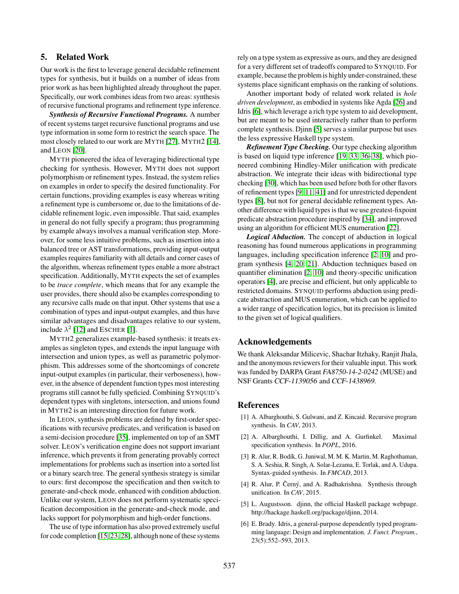# 5. Related Work

Our work is the first to leverage general decidable refinement types for synthesis, but it builds on a number of ideas from prior work as has been highlighted already throughout the paper. Specifically, our work combines ideas from two areas: synthesis of recursive functional programs and refinement type inference.

*Synthesis of Recursive Functional Programs.* A number of recent systems target recursive functional programs and use type information in some form to restrict the search space. The most closely related to our work are MYTH [\[27\]](#page-16-3), MYTH2 [\[14\]](#page-16-1), and LEON [\[20\]](#page-16-4).

MYTH pioneered the idea of leveraging bidirectional type checking for synthesis. However, MYTH does not support polymorphism or refinement types. Instead, the system relies on examples in order to specify the desired functionality. For certain functions, providing examples is easy whereas writing a refinement type is cumbersome or, due to the limitations of decidable refinement logic, even impossible. That said, examples in general do not fully specify a program; thus programming by example always involves a manual verification step. Moreover, for some less intuitive problems, such as insertion into a balanced tree or AST transformations, providing input-output examples requires familiarity with all details and corner cases of the algorithm, whereas refinement types enable a more abstract specification. Additionally, MYTH expects the set of examples to be *trace complete*, which means that for any example the user provides, there should also be examples corresponding to any recursive calls made on that input. Other systems that use a combination of types and input-output examples, and thus have similar advantages and disadvantages relative to our system, include  $\lambda^2$  [\[12\]](#page-16-0) and ESCHER [\[1\]](#page-15-0).

MYTH2 generalizes example-based synthesis: it treats examples as singleton types, and extends the input language with intersection and union types, as well as parametric polymorphism. This addresses some of the shortcomings of concrete input-output examples (in particular, their verboseness), however, in the absence of dependent function types most interesting programs still cannot be fully speficied. Combining SYNQUID's dependent types with singletons, intersection, and unions found in MYTH2 is an interesting direction for future work.

In LEON, synthesis problems are defined by first-order specifications with recursive predicates, and verification is based on a semi-decision procedure [\[35\]](#page-16-25), implemented on top of an SMT solver. LEON's verification engine does not support invariant inference, which prevents it from generating provably correct implementations for problems such as insertion into a sorted list or a binary search tree. The general synthesis strategy is similar to ours: first decompose the specification and then switch to generate-and-check mode, enhanced with condition abduction. Unlike our system, LEON does not perform systematic specification decomposition in the generate-and-check mode, and lacks support for polymorphism and high-order functions.

The use of type information has also proved extremely useful for code completion [\[15,](#page-16-2) [23,](#page-16-26) [28\]](#page-16-27), although none of these systems rely on a type system as expressive as ours, and they are designed for a very different set of tradeoffs compared to SYNQUID. For example, because the problem is highly under-constrained, these systems place significant emphasis on the ranking of solutions.

Another important body of related work related is *hole driven development*, as embodied in systems like Agda [\[26\]](#page-16-28) and Idris [\[6\]](#page-15-3), which leverage a rich type system to aid development, but are meant to be used interactively rather than to perform complete synthesis. Djinn [\[5\]](#page-15-4) serves a similar purpose but uses the less expressive Haskell type system.

*Refinement Type Checking.* Our type checking algorithm is based on liquid type inference [\[19,](#page-16-9) [33,](#page-16-7) [36–](#page-16-10)[38\]](#page-16-29), which pioneered combining Hindley-Miler unification with predicate abstraction. We integrate their ideas with bidirectional type checking [\[30\]](#page-16-12), which has been used before both for other flavors of refinement types [\[9,](#page-16-30) [11,](#page-16-31) [41\]](#page-16-32) and for unrestricted dependent types [\[8\]](#page-16-33), but not for general decidable refinement types. Another difference with liquid types is that we use greatest-fixpoint predicate abstraction procedure inspired by [\[34\]](#page-16-22), and improved using an algorithm for efficient MUS enumeration [\[22\]](#page-16-13).

*Logical Abduction.* The concept of abduction in logical reasoning has found numerous applications in programming languages, including specification inference [\[2,](#page-15-5) [10\]](#page-16-34) and program synthesis [\[4,](#page-15-1) [20,](#page-16-4) [21\]](#page-16-5). Abduction techniques based on quantifier elimination [\[2,](#page-15-5) [10\]](#page-16-34) and theory-specific unification operators [\[4\]](#page-15-1), are precise and efficient, but only applicable to restricted domains. SYNQUID performs abduction using predicate abstraction and MUS enumeration, which can be applied to a wider range of specification logics, but its precision is limited to the given set of logical qualifiers.

## Acknowledgements

We thank Aleksandar Milicevic, Shachar Itzhaky, Ranjit Jhala, and the anonymous reviewers for their valuable input. This work was funded by DARPA Grant FA8750-14-2-0242 (MUSE) and NSF Grants CCF-1139056 and CCF-1438969.

## References

- <span id="page-15-0"></span>[1] A. Albarghouthi, S. Gulwani, and Z. Kincaid. Recursive program synthesis. In *CAV*, 2013.
- <span id="page-15-5"></span>[2] A. Albarghouthi, I. Dillig, and A. Gurfinkel. Maximal specification synthesis. In *POPL*, 2016.
- <span id="page-15-2"></span>[3] R. Alur, R. Bodík, G. Juniwal, M. M. K. Martin, M. Raghothaman, S. A. Seshia, R. Singh, A. Solar-Lezama, E. Torlak, and A. Udupa. Syntax-guided synthesis. In *FMCAD*, 2013.
- <span id="page-15-1"></span>[4] R. Alur, P. Černý, and A. Radhakrishna. Synthesis through unification. In *CAV*, 2015.
- <span id="page-15-4"></span>[5] L. Augustsson. djinn, the official Haskell package webpage. http://hackage.haskell.org/package/djinn, 2014.
- <span id="page-15-3"></span>[6] E. Brady. Idris, a general-purpose dependently typed programming language: Design and implementation. *J. Funct. Program.*, 23(5):552–593, 2013.